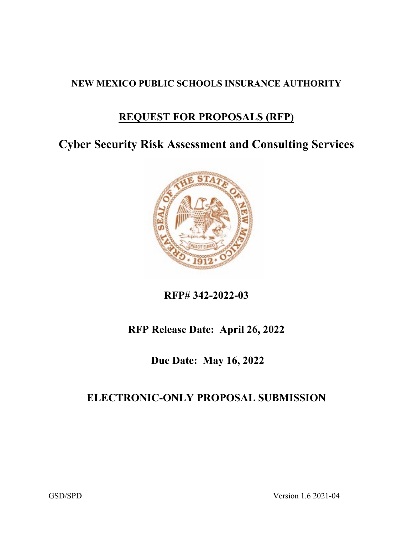## **NEW MEXICO PUBLIC SCHOOLS INSURANCE AUTHORITY**

# **REQUEST FOR PROPOSALS (RFP)**

**Cyber Security Risk Assessment and Consulting Services**



**RFP# 342-2022-03**

# **RFP Release Date: April 26, 2022**

**Due Date: May 16, 2022**

# **ELECTRONIC-ONLY PROPOSAL SUBMISSION**

GSD/SPD Version 1.6 2021-04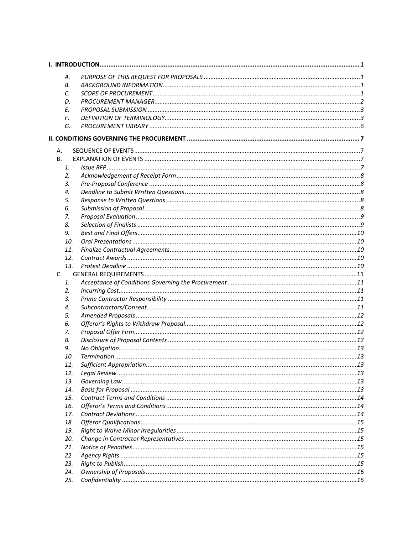|    | А.  |  |
|----|-----|--|
|    | В.  |  |
|    | C.  |  |
|    | D.  |  |
|    | E.  |  |
|    | F.  |  |
|    | G.  |  |
|    |     |  |
|    |     |  |
| А. |     |  |
| В. |     |  |
|    | 1.  |  |
|    | 2.  |  |
|    | 3.  |  |
|    | 4.  |  |
|    | 5.  |  |
|    | 6.  |  |
|    | 7.  |  |
|    | 8.  |  |
|    | 9.  |  |
|    | 10. |  |
|    | 11. |  |
|    | 12. |  |
|    | 13. |  |
| C. |     |  |
|    | 1.  |  |
|    | 2.  |  |
|    | 3.  |  |
|    | 4.  |  |
|    | 5.  |  |
|    | 6.  |  |
|    | 7.  |  |
|    | 8.  |  |
|    | 9.  |  |
|    | 10. |  |
|    | 11. |  |
|    | 12. |  |
|    | 13. |  |
|    | 14. |  |
|    | 15. |  |
|    | 16. |  |
|    | 17. |  |
|    | 18. |  |
|    | 19. |  |
|    | 20. |  |
|    | 21. |  |
|    | 22. |  |
|    | 23. |  |
|    | 24. |  |
|    | 25. |  |
|    |     |  |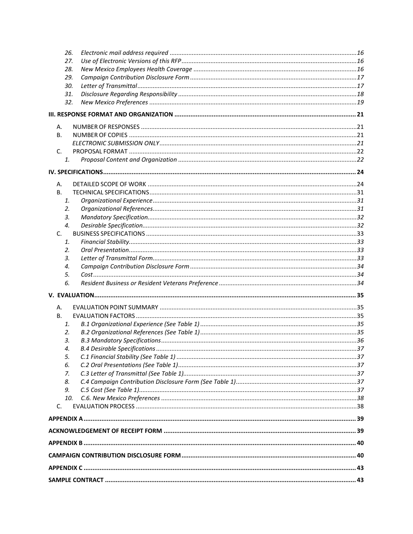|           | 26.      |  |
|-----------|----------|--|
|           | 27.      |  |
|           | 28.      |  |
|           | 29.      |  |
|           | 30.      |  |
|           | 31.      |  |
|           | 32.      |  |
|           |          |  |
| А.        |          |  |
| В.        |          |  |
|           |          |  |
| C.        |          |  |
|           | 1.       |  |
|           |          |  |
| А.        |          |  |
| <b>B.</b> |          |  |
|           | 1.       |  |
|           | 2.       |  |
|           | 3.       |  |
|           | 4.       |  |
| C.        |          |  |
|           | 1.       |  |
|           | 2.       |  |
|           | 3.       |  |
|           | 4.<br>5. |  |
|           | 6.       |  |
|           |          |  |
|           |          |  |
| А.        |          |  |
| В.        |          |  |
|           | 1.       |  |
|           | 2.       |  |
|           |          |  |
|           | 3.       |  |
|           | 4.       |  |
|           | 5.       |  |
|           | 6.       |  |
|           | 7.       |  |
|           | 8.       |  |
|           | 9.       |  |
| C.        | 10.      |  |
|           |          |  |
|           |          |  |
|           |          |  |
|           |          |  |
|           |          |  |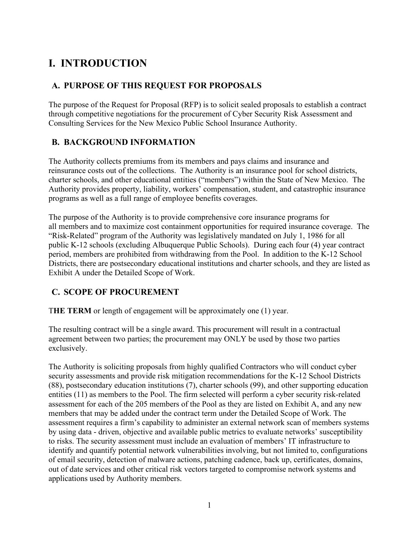# <span id="page-4-0"></span>**I. INTRODUCTION**

## <span id="page-4-1"></span>**A. PURPOSE OF THIS REQUEST FOR PROPOSALS**

The purpose of the Request for Proposal (RFP) is to solicit sealed proposals to establish a contract through competitive negotiations for the procurement of Cyber Security Risk Assessment and Consulting Services for the New Mexico Public School Insurance Authority.

## <span id="page-4-2"></span>**B. BACKGROUND INFORMATION**

The Authority collects premiums from its members and pays claims and insurance and reinsurance costs out of the collections. The Authority is an insurance pool for school districts, charter schools, and other educational entities ("members") within the State of New Mexico. The Authority provides property, liability, workers' compensation, student, and catastrophic insurance programs as well as a full range of employee benefits coverages.

The purpose of the Authority is to provide comprehensive core insurance programs for all members and to maximize cost containment opportunities for required insurance coverage. The "Risk-Related" program of the Authority was legislatively mandated on July 1, 1986 for all public K-12 schools (excluding Albuquerque Public Schools). During each four (4) year contract period, members are prohibited from withdrawing from the Pool. In addition to the K-12 School Districts, there are postsecondary educational institutions and charter schools, and they are listed as Exhibit A under the Detailed Scope of Work.

## <span id="page-4-3"></span>**C. SCOPE OF PROCUREMENT**

T**HE TERM** or length of engagement will be approximately one (1) year.

The resulting contract will be a single award. This procurement will result in a contractual agreement between two parties; the procurement may ONLY be used by those two parties exclusively.

The Authority is soliciting proposals from highly qualified Contractors who will conduct cyber security assessments and provide risk mitigation recommendations for the K-12 School Districts (88), postsecondary education institutions (7), charter schools (99), and other supporting education entities (11) as members to the Pool. The firm selected will perform a cyber security risk-related assessment for each of the 205 members of the Pool as they are listed on Exhibit A, and any new members that may be added under the contract term under the Detailed Scope of Work. The assessment requires a firm's capability to administer an external network scan of members systems by using data - driven, objective and available public metrics to evaluate networks' susceptibility to risks. The security assessment must include an evaluation of members' IT infrastructure to identify and quantify potential network vulnerabilities involving, but not limited to, configurations of email security, detection of malware actions, patching cadence, back up, certificates, domains, out of date services and other critical risk vectors targeted to compromise network systems and applications used by Authority members.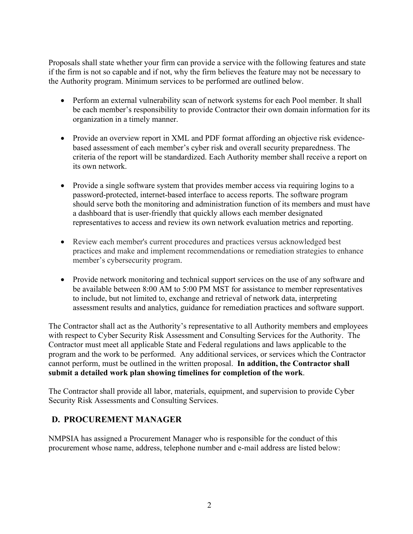Proposals shall state whether your firm can provide a service with the following features and state if the firm is not so capable and if not, why the firm believes the feature may not be necessary to the Authority program. Minimum services to be performed are outlined below.

- Perform an external vulnerability scan of network systems for each Pool member. It shall be each member's responsibility to provide Contractor their own domain information for its organization in a timely manner.
- Provide an overview report in XML and PDF format affording an objective risk evidencebased assessment of each member's cyber risk and overall security preparedness. The criteria of the report will be standardized. Each Authority member shall receive a report on its own network.
- Provide a single software system that provides member access via requiring logins to a password-protected, internet-based interface to access reports. The software program should serve both the monitoring and administration function of its members and must have a dashboard that is user-friendly that quickly allows each member designated representatives to access and review its own network evaluation metrics and reporting.
- Review each member's current procedures and practices versus acknowledged best practices and make and implement recommendations or remediation strategies to enhance member's cybersecurity program.
- Provide network monitoring and technical support services on the use of any software and be available between 8:00 AM to 5:00 PM MST for assistance to member representatives to include, but not limited to, exchange and retrieval of network data, interpreting assessment results and analytics, guidance for remediation practices and software support.

The Contractor shall act as the Authority's representative to all Authority members and employees with respect to Cyber Security Risk Assessment and Consulting Services for the Authority. The Contractor must meet all applicable State and Federal regulations and laws applicable to the program and the work to be performed. Any additional services, or services which the Contractor cannot perform, must be outlined in the written proposal. **In addition, the Contractor shall submit a detailed work plan showing timelines for completion of the work**.

The Contractor shall provide all labor, materials, equipment, and supervision to provide Cyber Security Risk Assessments and Consulting Services.

## <span id="page-5-0"></span>**D. PROCUREMENT MANAGER**

NMPSIA has assigned a Procurement Manager who is responsible for the conduct of this procurement whose name, address, telephone number and e-mail address are listed below: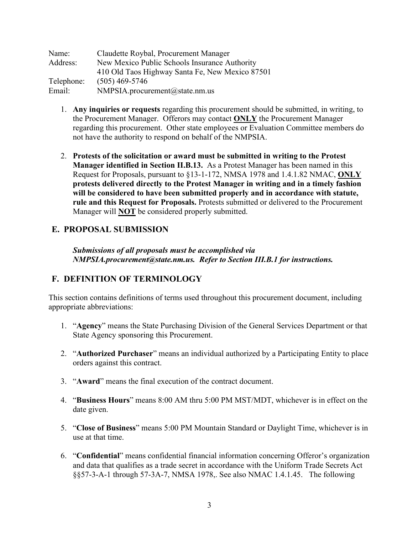| Name:      | Claudette Roybal, Procurement Manager           |
|------------|-------------------------------------------------|
| Address:   | New Mexico Public Schools Insurance Authority   |
|            | 410 Old Taos Highway Santa Fe, New Mexico 87501 |
| Telephone: | $(505)$ 469-5746                                |
| Email:     | NMPSIA.procurement@state.nm.us                  |

- 1. **Any inquiries or requests** regarding this procurement should be submitted, in writing, to the Procurement Manager. Offerors may contact **ONLY** the Procurement Manager regarding this procurement. Other state employees or Evaluation Committee members do not have the authority to respond on behalf of the NMPSIA.
- 2. **Protests of the solicitation or award must be submitted in writing to the Protest Manager identified in Section II.B.13.** As a Protest Manager has been named in this Request for Proposals, pursuant to §13-1-172, NMSA 1978 and 1.4.1.82 NMAC, **ONLY protests delivered directly to the Protest Manager in writing and in a timely fashion will be considered to have been submitted properly and in accordance with statute, rule and this Request for Proposals.** Protests submitted or delivered to the Procurement Manager will **NOT** be considered properly submitted.

## <span id="page-6-0"></span>**E. PROPOSAL SUBMISSION**

*Submissions of all proposals must be accomplished via NMPSIA.procurement@state.nm.us. Refer to Section III.B.1 for instructions.*

## <span id="page-6-1"></span>**F. DEFINITION OF TERMINOLOGY**

This section contains definitions of terms used throughout this procurement document, including appropriate abbreviations:

- 1. "**Agency**" means the State Purchasing Division of the General Services Department or that State Agency sponsoring this Procurement.
- 2. "**Authorized Purchaser**" means an individual authorized by a Participating Entity to place orders against this contract.
- 3. "**Award**" means the final execution of the contract document.
- 4. "**Business Hours**" means 8:00 AM thru 5:00 PM MST/MDT, whichever is in effect on the date given.
- 5. "**Close of Business**" means 5:00 PM Mountain Standard or Daylight Time, whichever is in use at that time.
- 6. "**Confidential**" means confidential financial information concerning Offeror's organization and data that qualifies as a trade secret in accordance with the Uniform Trade Secrets Act §§57-3-A-1 through 57-3A-7, NMSA 1978,. See also NMAC 1.4.1.45. The following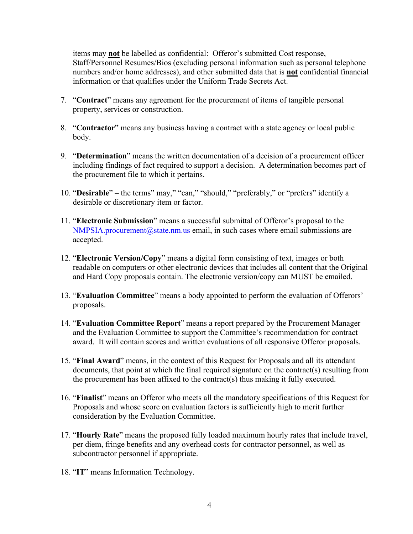items may **not** be labelled as confidential: Offeror's submitted Cost response, Staff/Personnel Resumes/Bios (excluding personal information such as personal telephone numbers and/or home addresses), and other submitted data that is **not** confidential financial information or that qualifies under the Uniform Trade Secrets Act.

- 7. "**Contract**" means any agreement for the procurement of items of tangible personal property, services or construction.
- 8. "**Contractor**" means any business having a contract with a state agency or local public body.
- 9. "**Determination**" means the written documentation of a decision of a procurement officer including findings of fact required to support a decision. A determination becomes part of the procurement file to which it pertains.
- 10. "**Desirable**" the terms" may," "can," "should," "preferably," or "prefers" identify a desirable or discretionary item or factor.
- 11. "**Electronic Submission**" means a successful submittal of Offeror's proposal to the  $NMPSIA.procurrent@state.nm.us email, in such cases where email submission are$ accepted.
- 12. "**Electronic Version/Copy**" means a digital form consisting of text, images or both readable on computers or other electronic devices that includes all content that the Original and Hard Copy proposals contain. The electronic version/copy can MUST be emailed.
- 13. "**Evaluation Committee**" means a body appointed to perform the evaluation of Offerors' proposals.
- 14. "**Evaluation Committee Report**" means a report prepared by the Procurement Manager and the Evaluation Committee to support the Committee's recommendation for contract award. It will contain scores and written evaluations of all responsive Offeror proposals.
- 15. "**Final Award**" means, in the context of this Request for Proposals and all its attendant documents, that point at which the final required signature on the contract(s) resulting from the procurement has been affixed to the contract(s) thus making it fully executed.
- 16. "**Finalist**" means an Offeror who meets all the mandatory specifications of this Request for Proposals and whose score on evaluation factors is sufficiently high to merit further consideration by the Evaluation Committee.
- 17. "**Hourly Rate**" means the proposed fully loaded maximum hourly rates that include travel, per diem, fringe benefits and any overhead costs for contractor personnel, as well as subcontractor personnel if appropriate.
- 18. "**IT**" means Information Technology.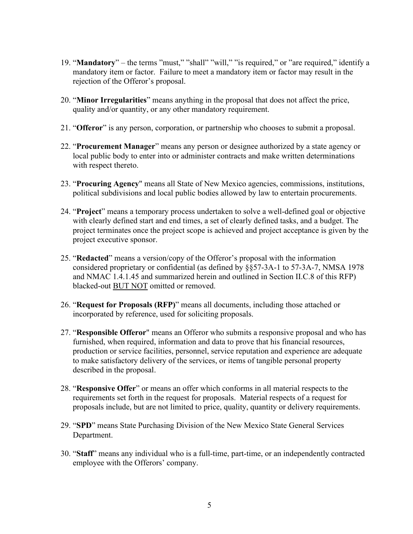- 19. "**Mandatory**" the terms "must," "shall" "will," "is required," or "are required," identify a mandatory item or factor. Failure to meet a mandatory item or factor may result in the rejection of the Offeror's proposal.
- 20. "**Minor Irregularities**" means anything in the proposal that does not affect the price, quality and/or quantity, or any other mandatory requirement.
- 21. "**Offeror**" is any person, corporation, or partnership who chooses to submit a proposal.
- 22. "**Procurement Manager**" means any person or designee authorized by a state agency or local public body to enter into or administer contracts and make written determinations with respect thereto.
- 23. "**Procuring Agency**" means all State of New Mexico agencies, commissions, institutions, political subdivisions and local public bodies allowed by law to entertain procurements.
- 24. "**Project**" means a temporary process undertaken to solve a well-defined goal or objective with clearly defined start and end times, a set of clearly defined tasks, and a budget. The project terminates once the project scope is achieved and project acceptance is given by the project executive sponsor.
- 25. "**Redacted**" means a version/copy of the Offeror's proposal with the information considered proprietary or confidential (as defined by §§57-3A-1 to 57-3A-7, NMSA 1978 and NMAC 1.4.1.45 and summarized herein and outlined in Section II.C.8 of this RFP) blacked-out BUT NOT omitted or removed.
- 26. "**Request for Proposals (RFP)**" means all documents, including those attached or incorporated by reference, used for soliciting proposals.
- 27. "**Responsible Offeror**" means an Offeror who submits a responsive proposal and who has furnished, when required, information and data to prove that his financial resources, production or service facilities, personnel, service reputation and experience are adequate to make satisfactory delivery of the services, or items of tangible personal property described in the proposal.
- 28. "**Responsive Offer**" or means an offer which conforms in all material respects to the requirements set forth in the request for proposals. Material respects of a request for proposals include, but are not limited to price, quality, quantity or delivery requirements.
- 29. "**SPD**" means State Purchasing Division of the New Mexico State General Services Department.
- 30. "**Staff**" means any individual who is a full-time, part-time, or an independently contracted employee with the Offerors' company.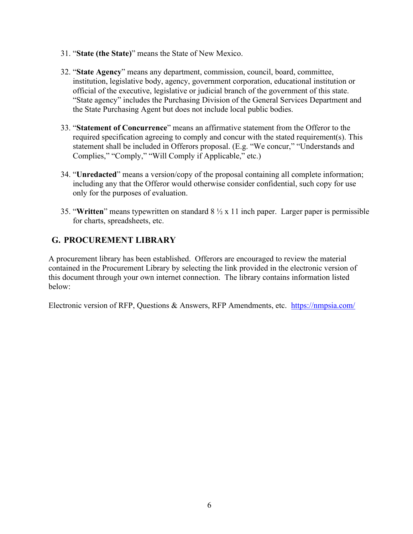- 31. "**State (the State)**" means the State of New Mexico.
- 32. "**State Agency**" means any department, commission, council, board, committee, institution, legislative body, agency, government corporation, educational institution or official of the executive, legislative or judicial branch of the government of this state. "State agency" includes the Purchasing Division of the General Services Department and the State Purchasing Agent but does not include local public bodies.
- 33. "**Statement of Concurrence**" means an affirmative statement from the Offeror to the required specification agreeing to comply and concur with the stated requirement(s). This statement shall be included in Offerors proposal. (E.g. "We concur," "Understands and Complies," "Comply," "Will Comply if Applicable," etc.)
- 34. "**Unredacted**" means a version/copy of the proposal containing all complete information; including any that the Offeror would otherwise consider confidential, such copy for use only for the purposes of evaluation.
- 35. "**Written**" means typewritten on standard 8 ½ x 11 inch paper. Larger paper is permissible for charts, spreadsheets, etc.

## <span id="page-9-0"></span>**G. PROCUREMENT LIBRARY**

A procurement library has been established. Offerors are encouraged to review the material contained in the Procurement Library by selecting the link provided in the electronic version of this document through your own internet connection. The library contains information listed below:

Electronic version of RFP, Questions & Answers, RFP Amendments, etc. <https://nmpsia.com/>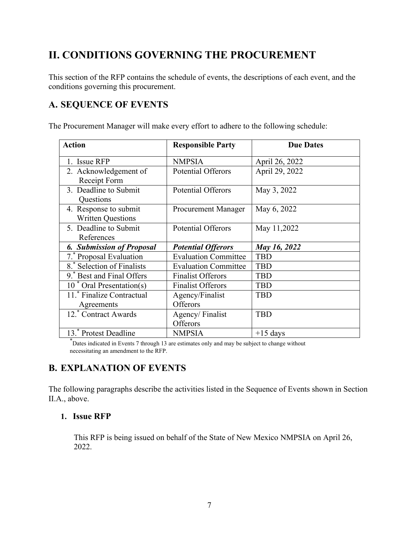# <span id="page-10-0"></span>**II. CONDITIONS GOVERNING THE PROCUREMENT**

This section of the RFP contains the schedule of events, the descriptions of each event, and the conditions governing this procurement.

## <span id="page-10-1"></span>**A. SEQUENCE OF EVENTS**

The Procurement Manager will make every effort to adhere to the following schedule:

| <b>Action</b>                                     | <b>Responsible Party</b>    | <b>Due Dates</b> |
|---------------------------------------------------|-----------------------------|------------------|
| 1. Issue RFP                                      | <b>NMPSIA</b>               | April 26, 2022   |
| 2. Acknowledgement of<br>Receipt Form             | <b>Potential Offerors</b>   | April 29, 2022   |
| 3. Deadline to Submit<br>Questions                | <b>Potential Offerors</b>   | May 3, 2022      |
| 4. Response to submit<br><b>Written Questions</b> | <b>Procurement Manager</b>  | May 6, 2022      |
| 5. Deadline to Submit<br>References               | <b>Potential Offerors</b>   | May 11,2022      |
| <b>6. Submission of Proposal</b>                  | <b>Potential Offerors</b>   | May 16, 2022     |
| 7. Proposal Evaluation                            | <b>Evaluation Committee</b> | <b>TBD</b>       |
| 8.* Selection of Finalists                        | <b>Evaluation Committee</b> | <b>TBD</b>       |
| 9. Best and Final Offers                          | <b>Finalist Offerors</b>    | <b>TBD</b>       |
| $10^*$ Oral Presentation(s)                       | <b>Finalist Offerors</b>    | <b>TBD</b>       |
| 11. Finalize Contractual                          | Agency/Finalist             | <b>TBD</b>       |
| Agreements                                        | Offerors                    |                  |
| 12. Contract Awards                               | Agency/Finalist             | <b>TBD</b>       |
|                                                   | Offerors                    |                  |
| 13. Protest Deadline                              | <b>NMPSIA</b>               | $+15$ days       |

\* Dates indicated in Events 7 through 13 are estimates only and may be subject to change without necessitating an amendment to the RFP.

## <span id="page-10-2"></span>**B. EXPLANATION OF EVENTS**

The following paragraphs describe the activities listed in the Sequence of Events shown in Section II.A., above.

### <span id="page-10-3"></span>**1. Issue RFP**

This RFP is being issued on behalf of the State of New Mexico NMPSIA on April 26, 2022.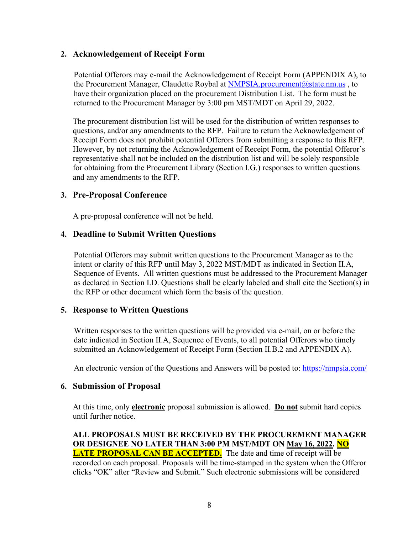### <span id="page-11-0"></span>**2. Acknowledgement of Receipt Form**

Potential Offerors may e-mail the Acknowledgement of Receipt Form (APPENDIX A), to the Procurement Manager, Claudette Roybal at NMPSIA.procurement@state.nm.us, to have their organization placed on the procurement Distribution List. The form must be returned to the Procurement Manager by 3:00 pm MST/MDT on April 29, 2022.

The procurement distribution list will be used for the distribution of written responses to questions, and/or any amendments to the RFP. Failure to return the Acknowledgement of Receipt Form does not prohibit potential Offerors from submitting a response to this RFP. However, by not returning the Acknowledgement of Receipt Form, the potential Offeror's representative shall not be included on the distribution list and will be solely responsible for obtaining from the Procurement Library (Section I.G.) responses to written questions and any amendments to the RFP.

#### <span id="page-11-1"></span>**3. Pre-Proposal Conference**

A pre-proposal conference will not be held.

#### <span id="page-11-2"></span>**4. Deadline to Submit Written Questions**

Potential Offerors may submit written questions to the Procurement Manager as to the intent or clarity of this RFP until May 3, 2022 MST/MDT as indicated in Section II.A, Sequence of Events. All written questions must be addressed to the Procurement Manager as declared in Section I.D. Questions shall be clearly labeled and shall cite the Section(s) in the RFP or other document which form the basis of the question.

#### <span id="page-11-3"></span>**5. Response to Written Questions**

Written responses to the written questions will be provided via e-mail, on or before the date indicated in Section II.A, Sequence of Events, to all potential Offerors who timely submitted an Acknowledgement of Receipt Form (Section II.B.2 and APPENDIX A).

An electronic version of the Questions and Answers will be posted to:<https://nmpsia.com/>

#### <span id="page-11-4"></span>**6. Submission of Proposal**

At this time, only **electronic** proposal submission is allowed. **Do not** submit hard copies until further notice.

**ALL PROPOSALS MUST BE RECEIVED BY THE PROCUREMENT MANAGER OR DESIGNEE NO LATER THAN 3:00 PM MST/MDT ON May 16, 2022. NO LATE PROPOSAL CAN BE ACCEPTED.** The date and time of receipt will be recorded on each proposal. Proposals will be time-stamped in the system when the Offeror clicks "OK" after "Review and Submit." Such electronic submissions will be considered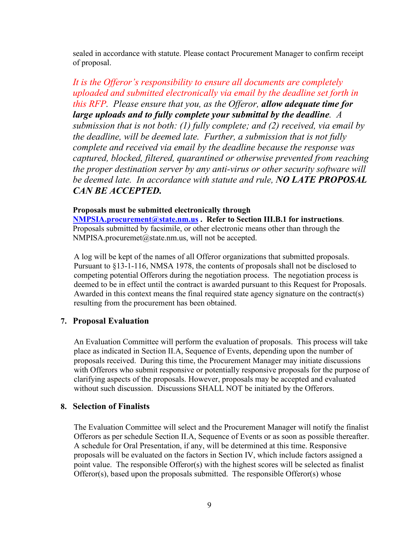sealed in accordance with statute. Please contact Procurement Manager to confirm receipt of proposal.

*It is the Offeror's responsibility to ensure all documents are completely uploaded and submitted electronically via email by the deadline set forth in this RFP. Please ensure that you, as the Offeror, allow adequate time for large uploads and to fully complete your submittal by the deadline. A submission that is not both: (1) fully complete; and (2) received, via email by the deadline, will be deemed late. Further, a submission that is not fully complete and received via email by the deadline because the response was captured, blocked, filtered, quarantined or otherwise prevented from reaching the proper destination server by any anti-virus or other security software will be deemed late. In accordance with statute and rule, NO LATE PROPOSAL CAN BE ACCEPTED.*

#### **Proposals must be submitted electronically through**

**[NMPSIA.procurement@state.nm.us](mailto:NMPSIA.procurement@state.nm.us) . Refer to Section III.B.1 for instructions**. Proposals submitted by facsimile, or other electronic means other than through the NMPISA.procuremet@state.nm.us, will not be accepted.

A log will be kept of the names of all Offeror organizations that submitted proposals. Pursuant to §13-1-116, NMSA 1978, the contents of proposals shall not be disclosed to competing potential Offerors during the negotiation process. The negotiation process is deemed to be in effect until the contract is awarded pursuant to this Request for Proposals. Awarded in this context means the final required state agency signature on the contract(s) resulting from the procurement has been obtained.

### <span id="page-12-0"></span>**7. Proposal Evaluation**

An Evaluation Committee will perform the evaluation of proposals. This process will take place as indicated in Section II.A, Sequence of Events, depending upon the number of proposals received. During this time, the Procurement Manager may initiate discussions with Offerors who submit responsive or potentially responsive proposals for the purpose of clarifying aspects of the proposals. However, proposals may be accepted and evaluated without such discussion. Discussions SHALL NOT be initiated by the Offerors.

#### <span id="page-12-1"></span>**8. Selection of Finalists**

The Evaluation Committee will select and the Procurement Manager will notify the finalist Offerors as per schedule Section II.A, Sequence of Events or as soon as possible thereafter. A schedule for Oral Presentation, if any, will be determined at this time. Responsive proposals will be evaluated on the factors in Section IV, which include factors assigned a point value. The responsible Offeror(s) with the highest scores will be selected as finalist Offeror(s), based upon the proposals submitted. The responsible Offeror(s) whose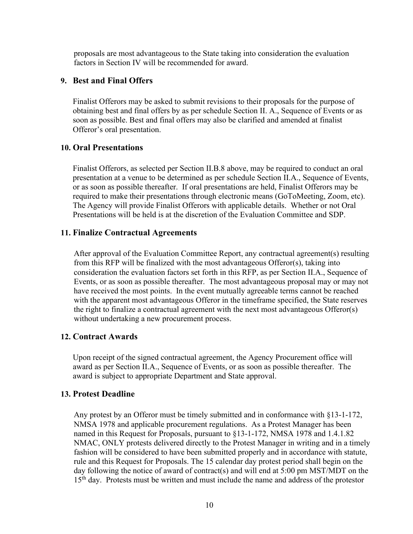proposals are most advantageous to the State taking into consideration the evaluation factors in Section IV will be recommended for award.

#### <span id="page-13-0"></span>**9. Best and Final Offers**

Finalist Offerors may be asked to submit revisions to their proposals for the purpose of obtaining best and final offers by as per schedule Section II. A., Sequence of Events or as soon as possible. Best and final offers may also be clarified and amended at finalist Offeror's oral presentation.

#### <span id="page-13-1"></span>**10. Oral Presentations**

Finalist Offerors, as selected per Section II.B.8 above, may be required to conduct an oral presentation at a venue to be determined as per schedule Section II.A., Sequence of Events, or as soon as possible thereafter. If oral presentations are held, Finalist Offerors may be required to make their presentations through electronic means (GoToMeeting, Zoom, etc). The Agency will provide Finalist Offerors with applicable details. Whether or not Oral Presentations will be held is at the discretion of the Evaluation Committee and SDP.

#### <span id="page-13-2"></span>**11. Finalize Contractual Agreements**

After approval of the Evaluation Committee Report, any contractual agreement(s) resulting from this RFP will be finalized with the most advantageous Offeror(s), taking into consideration the evaluation factors set forth in this RFP, as per Section II.A., Sequence of Events, or as soon as possible thereafter. The most advantageous proposal may or may not have received the most points. In the event mutually agreeable terms cannot be reached with the apparent most advantageous Offeror in the timeframe specified, the State reserves the right to finalize a contractual agreement with the next most advantageous Offeror(s) without undertaking a new procurement process.

#### <span id="page-13-3"></span>**12. Contract Awards**

Upon receipt of the signed contractual agreement, the Agency Procurement office will award as per Section II.A., Sequence of Events, or as soon as possible thereafter. The award is subject to appropriate Department and State approval.

### <span id="page-13-4"></span>**13. Protest Deadline**

Any protest by an Offeror must be timely submitted and in conformance with §13-1-172, NMSA 1978 and applicable procurement regulations. As a Protest Manager has been named in this Request for Proposals, pursuant to §13-1-172, NMSA 1978 and 1.4.1.82 NMAC, ONLY protests delivered directly to the Protest Manager in writing and in a timely fashion will be considered to have been submitted properly and in accordance with statute, rule and this Request for Proposals. The 15 calendar day protest period shall begin on the day following the notice of award of contract(s) and will end at 5:00 pm MST/MDT on the 15<sup>th</sup> day. Protests must be written and must include the name and address of the protestor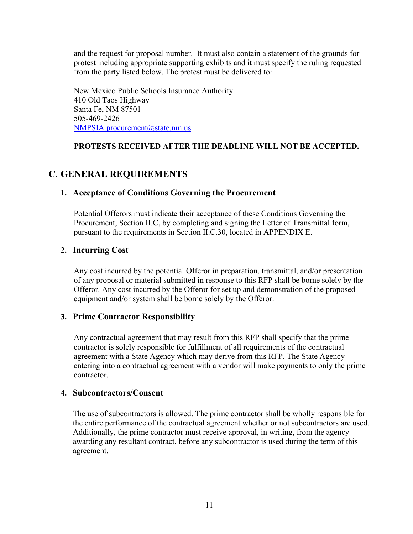and the request for proposal number. It must also contain a statement of the grounds for protest including appropriate supporting exhibits and it must specify the ruling requested from the party listed below. The protest must be delivered to:

New Mexico Public Schools Insurance Authority 410 Old Taos Highway Santa Fe, NM 87501 505-469-2426 [NMPSIA.procurement@state.nm.us](mailto:NMPSIA.procurement@state.nm.us)

## **PROTESTS RECEIVED AFTER THE DEADLINE WILL NOT BE ACCEPTED.**

## <span id="page-14-1"></span><span id="page-14-0"></span>**C. GENERAL REQUIREMENTS**

### **1. Acceptance of Conditions Governing the Procurement**

Potential Offerors must indicate their acceptance of these Conditions Governing the Procurement, Section II.C, by completing and signing the Letter of Transmittal form, pursuant to the requirements in Section II.C.30, located in APPENDIX E.

## <span id="page-14-2"></span>**2. Incurring Cost**

Any cost incurred by the potential Offeror in preparation, transmittal, and/or presentation of any proposal or material submitted in response to this RFP shall be borne solely by the Offeror. Any cost incurred by the Offeror for set up and demonstration of the proposed equipment and/or system shall be borne solely by the Offeror.

## <span id="page-14-3"></span>**3. Prime Contractor Responsibility**

Any contractual agreement that may result from this RFP shall specify that the prime contractor is solely responsible for fulfillment of all requirements of the contractual agreement with a State Agency which may derive from this RFP. The State Agency entering into a contractual agreement with a vendor will make payments to only the prime contractor.

### <span id="page-14-4"></span>**4. Subcontractors/Consent**

The use of subcontractors is allowed. The prime contractor shall be wholly responsible for the entire performance of the contractual agreement whether or not subcontractors are used. Additionally, the prime contractor must receive approval, in writing, from the agency awarding any resultant contract, before any subcontractor is used during the term of this agreement.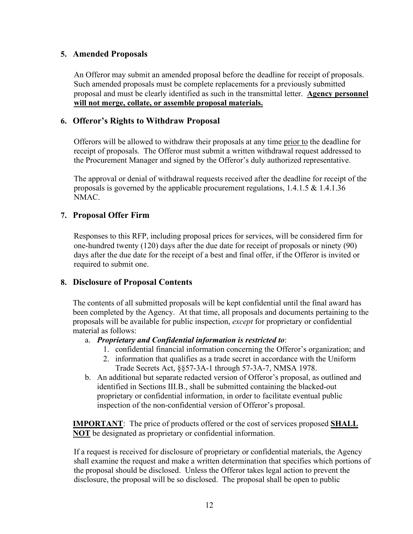### <span id="page-15-0"></span>**5. Amended Proposals**

An Offeror may submit an amended proposal before the deadline for receipt of proposals. Such amended proposals must be complete replacements for a previously submitted proposal and must be clearly identified as such in the transmittal letter. **Agency personnel will not merge, collate, or assemble proposal materials.**

## <span id="page-15-1"></span>**6. Offeror's Rights to Withdraw Proposal**

Offerors will be allowed to withdraw their proposals at any time prior to the deadline for receipt of proposals. The Offeror must submit a written withdrawal request addressed to the Procurement Manager and signed by the Offeror's duly authorized representative.

The approval or denial of withdrawal requests received after the deadline for receipt of the proposals is governed by the applicable procurement regulations, 1.4.1.5 & 1.4.1.36 NMAC.

## <span id="page-15-2"></span>**7. Proposal Offer Firm**

Responses to this RFP, including proposal prices for services, will be considered firm for one-hundred twenty (120) days after the due date for receipt of proposals or ninety (90) days after the due date for the receipt of a best and final offer, if the Offeror is invited or required to submit one.

## <span id="page-15-3"></span>**8. Disclosure of Proposal Contents**

The contents of all submitted proposals will be kept confidential until the final award has been completed by the Agency. At that time, all proposals and documents pertaining to the proposals will be available for public inspection, *except* for proprietary or confidential material as follows:

- a. *Proprietary and Confidential information is restricted to*:
	- 1. confidential financial information concerning the Offeror's organization; and
	- 2. information that qualifies as a trade secret in accordance with the Uniform Trade Secrets Act, §§57-3A-1 through 57-3A-7, NMSA 1978.
- b. An additional but separate redacted version of Offeror's proposal, as outlined and identified in Sections III.B., shall be submitted containing the blacked-out proprietary or confidential information, in order to facilitate eventual public inspection of the non-confidential version of Offeror's proposal.

**IMPORTANT**: The price of products offered or the cost of services proposed **SHALL NOT** be designated as proprietary or confidential information.

If a request is received for disclosure of proprietary or confidential materials, the Agency shall examine the request and make a written determination that specifies which portions of the proposal should be disclosed. Unless the Offeror takes legal action to prevent the disclosure, the proposal will be so disclosed. The proposal shall be open to public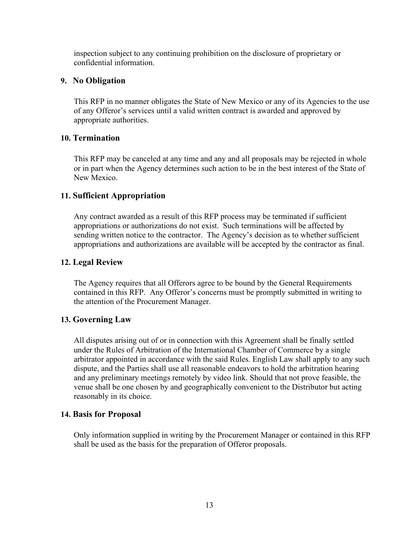inspection subject to any continuing prohibition on the disclosure of proprietary or confidential information.

### <span id="page-16-0"></span>**9. No Obligation**

This RFP in no manner obligates the State of New Mexico or any of its Agencies to the use of any Offeror's services until a valid written contract is awarded and approved by appropriate authorities.

### <span id="page-16-1"></span>**10. Termination**

This RFP may be canceled at any time and any and all proposals may be rejected in whole or in part when the Agency determines such action to be in the best interest of the State of New Mexico.

### <span id="page-16-2"></span>**11. Sufficient Appropriation**

Any contract awarded as a result of this RFP process may be terminated if sufficient appropriations or authorizations do not exist. Such terminations will be affected by sending written notice to the contractor. The Agency's decision as to whether sufficient appropriations and authorizations are available will be accepted by the contractor as final.

#### <span id="page-16-3"></span>**12. Legal Review**

The Agency requires that all Offerors agree to be bound by the General Requirements contained in this RFP. Any Offeror's concerns must be promptly submitted in writing to the attention of the Procurement Manager.

### <span id="page-16-4"></span>**13. Governing Law**

All disputes arising out of or in connection with this Agreement shall be finally settled under the Rules of Arbitration of the International Chamber of Commerce by a single arbitrator appointed in accordance with the said Rules. English Law shall apply to any such dispute, and the Parties shall use all reasonable endeavors to hold the arbitration hearing and any preliminary meetings remotely by video link. Should that not prove feasible, the venue shall be one chosen by and geographically convenient to the Distributor but acting reasonably in its choice.

### <span id="page-16-5"></span>**14. Basis for Proposal**

Only information supplied in writing by the Procurement Manager or contained in this RFP shall be used as the basis for the preparation of Offeror proposals.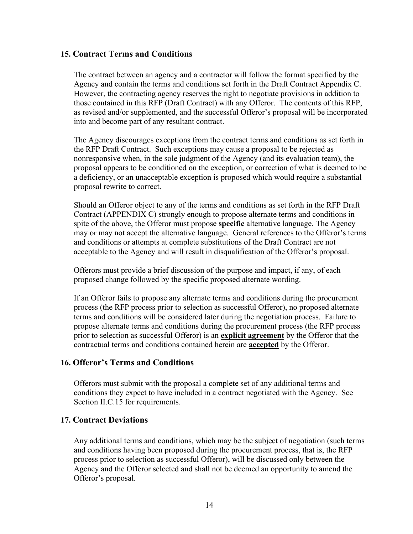### <span id="page-17-0"></span>**15. Contract Terms and Conditions**

The contract between an agency and a contractor will follow the format specified by the Agency and contain the terms and conditions set forth in the Draft Contract Appendix C. However, the contracting agency reserves the right to negotiate provisions in addition to those contained in this RFP (Draft Contract) with any Offeror. The contents of this RFP, as revised and/or supplemented, and the successful Offeror's proposal will be incorporated into and become part of any resultant contract.

The Agency discourages exceptions from the contract terms and conditions as set forth in the RFP Draft Contract. Such exceptions may cause a proposal to be rejected as nonresponsive when, in the sole judgment of the Agency (and its evaluation team), the proposal appears to be conditioned on the exception, or correction of what is deemed to be a deficiency, or an unacceptable exception is proposed which would require a substantial proposal rewrite to correct.

Should an Offeror object to any of the terms and conditions as set forth in the RFP Draft Contract (APPENDIX C) strongly enough to propose alternate terms and conditions in spite of the above, the Offeror must propose **specific** alternative language. The Agency may or may not accept the alternative language. General references to the Offeror's terms and conditions or attempts at complete substitutions of the Draft Contract are not acceptable to the Agency and will result in disqualification of the Offeror's proposal.

Offerors must provide a brief discussion of the purpose and impact, if any, of each proposed change followed by the specific proposed alternate wording.

If an Offeror fails to propose any alternate terms and conditions during the procurement process (the RFP process prior to selection as successful Offeror), no proposed alternate terms and conditions will be considered later during the negotiation process. Failure to propose alternate terms and conditions during the procurement process (the RFP process prior to selection as successful Offeror) is an **explicit agreement** by the Offeror that the contractual terms and conditions contained herein are **accepted** by the Offeror.

### <span id="page-17-1"></span>**16. Offeror's Terms and Conditions**

Offerors must submit with the proposal a complete set of any additional terms and conditions they expect to have included in a contract negotiated with the Agency. See Section II.C.15 for requirements.

### <span id="page-17-2"></span>**17. Contract Deviations**

Any additional terms and conditions, which may be the subject of negotiation (such terms and conditions having been proposed during the procurement process, that is, the RFP process prior to selection as successful Offeror), will be discussed only between the Agency and the Offeror selected and shall not be deemed an opportunity to amend the Offeror's proposal.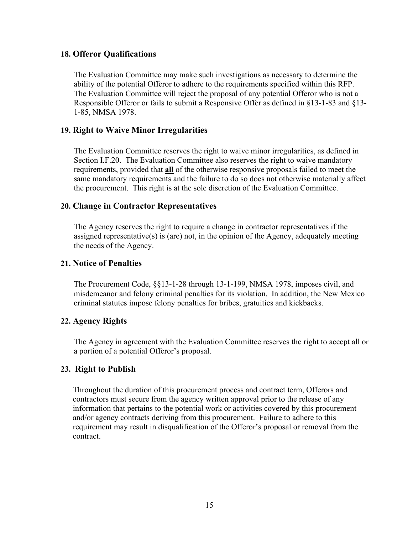#### <span id="page-18-0"></span>**18. Offeror Qualifications**

The Evaluation Committee may make such investigations as necessary to determine the ability of the potential Offeror to adhere to the requirements specified within this RFP. The Evaluation Committee will reject the proposal of any potential Offeror who is not a Responsible Offeror or fails to submit a Responsive Offer as defined in §13-1-83 and §13- 1-85, NMSA 1978.

### <span id="page-18-1"></span>**19. Right to Waive Minor Irregularities**

The Evaluation Committee reserves the right to waive minor irregularities, as defined in Section I.F.20. The Evaluation Committee also reserves the right to waive mandatory requirements, provided that **all** of the otherwise responsive proposals failed to meet the same mandatory requirements and the failure to do so does not otherwise materially affect the procurement. This right is at the sole discretion of the Evaluation Committee.

#### <span id="page-18-2"></span>**20. Change in Contractor Representatives**

The Agency reserves the right to require a change in contractor representatives if the assigned representative(s) is (are) not, in the opinion of the Agency, adequately meeting the needs of the Agency.

#### <span id="page-18-3"></span>**21. Notice of Penalties**

The Procurement Code, §§13-1-28 through 13-1-199, NMSA 1978, imposes civil, and misdemeanor and felony criminal penalties for its violation. In addition, the New Mexico criminal statutes impose felony penalties for bribes, gratuities and kickbacks.

### <span id="page-18-4"></span>**22. Agency Rights**

The Agency in agreement with the Evaluation Committee reserves the right to accept all or a portion of a potential Offeror's proposal.

### <span id="page-18-5"></span>**23. Right to Publish**

Throughout the duration of this procurement process and contract term, Offerors and contractors must secure from the agency written approval prior to the release of any information that pertains to the potential work or activities covered by this procurement and/or agency contracts deriving from this procurement. Failure to adhere to this requirement may result in disqualification of the Offeror's proposal or removal from the contract.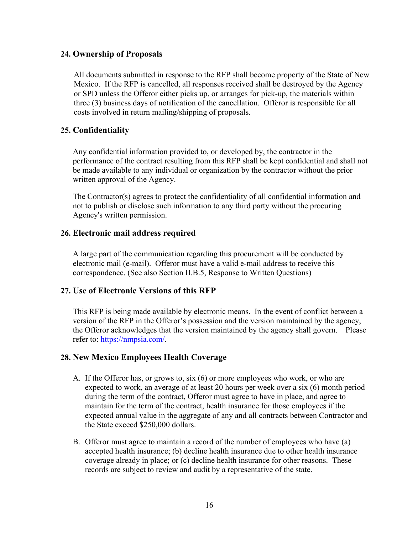#### <span id="page-19-0"></span>**24. Ownership of Proposals**

All documents submitted in response to the RFP shall become property of the State of New Mexico. If the RFP is cancelled, all responses received shall be destroyed by the Agency or SPD unless the Offeror either picks up, or arranges for pick-up, the materials within three (3) business days of notification of the cancellation. Offeror is responsible for all costs involved in return mailing/shipping of proposals.

## <span id="page-19-1"></span>**25. Confidentiality**

Any confidential information provided to, or developed by, the contractor in the performance of the contract resulting from this RFP shall be kept confidential and shall not be made available to any individual or organization by the contractor without the prior written approval of the Agency.

The Contractor(s) agrees to protect the confidentiality of all confidential information and not to publish or disclose such information to any third party without the procuring Agency's written permission.

### <span id="page-19-2"></span>**26. Electronic mail address required**

A large part of the communication regarding this procurement will be conducted by electronic mail (e-mail). Offeror must have a valid e-mail address to receive this correspondence. (See also Section II.B.5, Response to Written Questions)

### <span id="page-19-3"></span>**27. Use of Electronic Versions of this RFP**

This RFP is being made available by electronic means. In the event of conflict between a version of the RFP in the Offeror's possession and the version maintained by the agency, the Offeror acknowledges that the version maintained by the agency shall govern. Please refer to: [https://nmpsia.com/.](https://nmpsia.com/)

### <span id="page-19-4"></span>**28. New Mexico Employees Health Coverage**

- A. If the Offeror has, or grows to, six (6) or more employees who work, or who are expected to work, an average of at least 20 hours per week over a six (6) month period during the term of the contract, Offeror must agree to have in place, and agree to maintain for the term of the contract, health insurance for those employees if the expected annual value in the aggregate of any and all contracts between Contractor and the State exceed \$250,000 dollars.
- B. Offeror must agree to maintain a record of the number of employees who have (a) accepted health insurance; (b) decline health insurance due to other health insurance coverage already in place; or (c) decline health insurance for other reasons. These records are subject to review and audit by a representative of the state.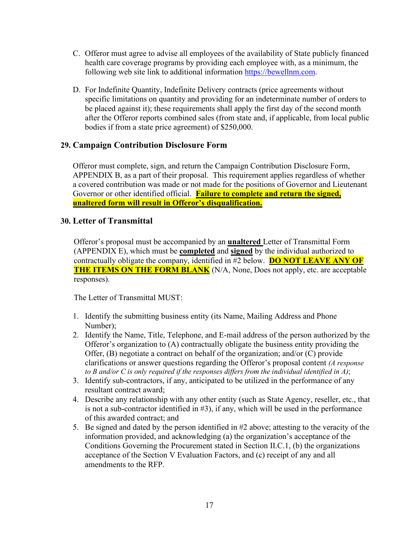- C. Offeror must agree to advise all employees of the availability of State publicly financed health care coverage programs by providing each employee with, as a minimum, the following web site link to additional information [https://bewellnm.com.](https://bewellnm.com/)
- D. For Indefinite Quantity, Indefinite Delivery contracts (price agreements without specific limitations on quantity and providing for an indeterminate number of orders to be placed against it); these requirements shall apply the first day of the second month after the Offeror reports combined sales (from state and, if applicable, from local public bodies if from a state price agreement) of \$250,000.

## <span id="page-20-0"></span>**29. Campaign Contribution Disclosure Form**

Offeror must complete, sign, and return the Campaign Contribution Disclosure Form, APPENDIX B, as a part of their proposal. This requirement applies regardless of whether a covered contribution was made or not made for the positions of Governor and Lieutenant Governor or other identified official. **Failure to complete and return the signed, unaltered form will result in Offeror's disqualification.**

### <span id="page-20-1"></span>**30. Letter of Transmittal**

Offeror's proposal must be accompanied by an **unaltered** Letter of Transmittal Form (APPENDIX E), which must be **completed** and **signed** by the individual authorized to contractually obligate the company, identified in #2 below. **DO NOT LEAVE ANY OF THE ITEMS ON THE FORM BLANK** (N/A, None, Does not apply, etc. are acceptable responses).

The Letter of Transmittal MUST:

- 1. Identify the submitting business entity (its Name, Mailing Address and Phone Number);
- 2. Identify the Name, Title, Telephone, and E-mail address of the person authorized by the Offeror's organization to (A) contractually obligate the business entity providing the Offer, (B) negotiate a contract on behalf of the organization; and/or (C) provide clarifications or answer questions regarding the Offeror's proposal content *(A response to B and/or C is only required if the responses differs from the individual identified in A)*;
- 3. Identify sub-contractors, if any, anticipated to be utilized in the performance of any resultant contract award;
- 4. Describe any relationship with any other entity (such as State Agency, reseller, etc., that is not a sub-contractor identified in #3), if any, which will be used in the performance of this awarded contract; and
- 5. Be signed and dated by the person identified in #2 above; attesting to the veracity of the information provided, and acknowledging (a) the organization's acceptance of the Conditions Governing the Procurement stated in Section II.C.1, (b) the organizations acceptance of the Section V Evaluation Factors, and (c) receipt of any and all amendments to the RFP.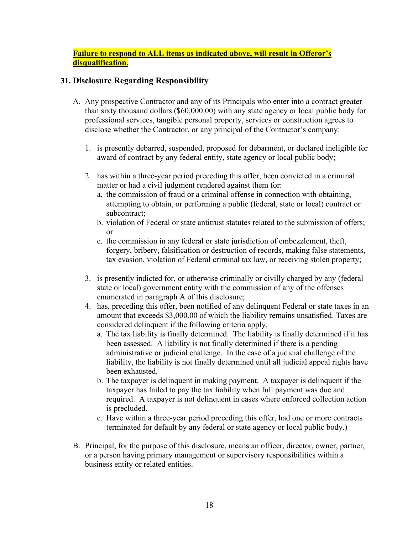### **Failure to respond to ALL items as indicated above, will result in Offeror's disqualification.**

## <span id="page-21-0"></span>**31. Disclosure Regarding Responsibility**

- A. Any prospective Contractor and any of its Principals who enter into a contract greater than sixty thousand dollars (\$60,000.00) with any state agency or local public body for professional services, tangible personal property, services or construction agrees to disclose whether the Contractor, or any principal of the Contractor's company:
	- 1. is presently debarred, suspended, proposed for debarment, or declared ineligible for award of contract by any federal entity, state agency or local public body;
	- 2. has within a three-year period preceding this offer, been convicted in a criminal matter or had a civil judgment rendered against them for:
		- a. the commission of fraud or a criminal offense in connection with obtaining, attempting to obtain, or performing a public (federal, state or local) contract or subcontract;
		- b. violation of Federal or state antitrust statutes related to the submission of offers; or
		- c. the commission in any federal or state jurisdiction of embezzlement, theft, forgery, bribery, falsification or destruction of records, making false statements, tax evasion, violation of Federal criminal tax law, or receiving stolen property;
	- 3. is presently indicted for, or otherwise criminally or civilly charged by any (federal state or local) government entity with the commission of any of the offenses enumerated in paragraph A of this disclosure;
	- 4. has, preceding this offer, been notified of any delinquent Federal or state taxes in an amount that exceeds \$3,000.00 of which the liability remains unsatisfied. Taxes are considered delinquent if the following criteria apply.
		- a. The tax liability is finally determined. The liability is finally determined if it has been assessed. A liability is not finally determined if there is a pending administrative or judicial challenge. In the case of a judicial challenge of the liability, the liability is not finally determined until all judicial appeal rights have been exhausted.
		- b. The taxpayer is delinquent in making payment. A taxpayer is delinquent if the taxpayer has failed to pay the tax liability when full payment was due and required. A taxpayer is not delinquent in cases where enforced collection action is precluded.
		- c. Have within a three-year period preceding this offer, had one or more contracts terminated for default by any federal or state agency or local public body.)
- B. Principal, for the purpose of this disclosure, means an officer, director, owner, partner, or a person having primary management or supervisory responsibilities within a business entity or related entities.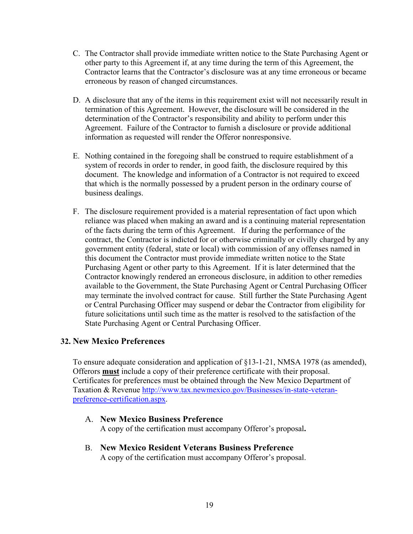- C. The Contractor shall provide immediate written notice to the State Purchasing Agent or other party to this Agreement if, at any time during the term of this Agreement, the Contractor learns that the Contractor's disclosure was at any time erroneous or became erroneous by reason of changed circumstances.
- D. A disclosure that any of the items in this requirement exist will not necessarily result in termination of this Agreement. However, the disclosure will be considered in the determination of the Contractor's responsibility and ability to perform under this Agreement. Failure of the Contractor to furnish a disclosure or provide additional information as requested will render the Offeror nonresponsive.
- E. Nothing contained in the foregoing shall be construed to require establishment of a system of records in order to render, in good faith, the disclosure required by this document. The knowledge and information of a Contractor is not required to exceed that which is the normally possessed by a prudent person in the ordinary course of business dealings.
- F. The disclosure requirement provided is a material representation of fact upon which reliance was placed when making an award and is a continuing material representation of the facts during the term of this Agreement. If during the performance of the contract, the Contractor is indicted for or otherwise criminally or civilly charged by any government entity (federal, state or local) with commission of any offenses named in this document the Contractor must provide immediate written notice to the State Purchasing Agent or other party to this Agreement. If it is later determined that the Contractor knowingly rendered an erroneous disclosure, in addition to other remedies available to the Government, the State Purchasing Agent or Central Purchasing Officer may terminate the involved contract for cause. Still further the State Purchasing Agent or Central Purchasing Officer may suspend or debar the Contractor from eligibility for future solicitations until such time as the matter is resolved to the satisfaction of the State Purchasing Agent or Central Purchasing Officer.

### <span id="page-22-0"></span>**32. New Mexico Preferences**

To ensure adequate consideration and application of §13-1-21, NMSA 1978 (as amended), Offerors **must** include a copy of their preference certificate with their proposal. Certificates for preferences must be obtained through the New Mexico Department of Taxation & Revenue [http://www.tax.newmexico.gov/Businesses/in-state-veteran](http://www.tax.newmexico.gov/Businesses/in-state-veteran-preference-certification.aspx)[preference-certification.aspx.](http://www.tax.newmexico.gov/Businesses/in-state-veteran-preference-certification.aspx)

### A. **New Mexico Business Preference**

A copy of the certification must accompany Offeror's proposal**.** 

B. **New Mexico Resident Veterans Business Preference** A copy of the certification must accompany Offeror's proposal.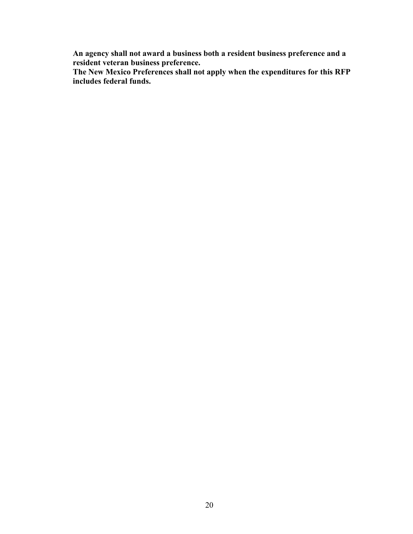**An agency shall not award a business both a resident business preference and a resident veteran business preference.** 

**The New Mexico Preferences shall not apply when the expenditures for this RFP includes federal funds.**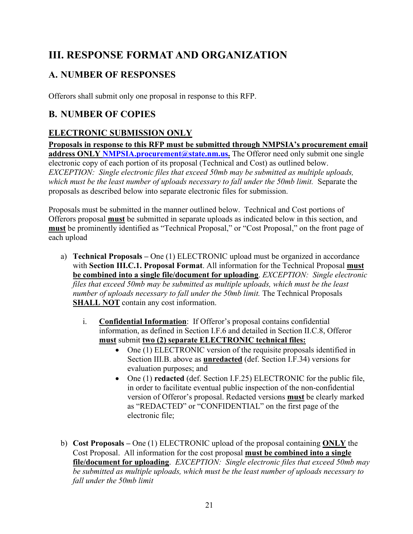# <span id="page-24-0"></span>**III. RESPONSE FORMAT AND ORGANIZATION**

# <span id="page-24-1"></span>**A. NUMBER OF RESPONSES**

Offerors shall submit only one proposal in response to this RFP.

# <span id="page-24-2"></span>**B. NUMBER OF COPIES**

## <span id="page-24-3"></span>**ELECTRONIC SUBMISSION ONLY**

**Proposals in response to this RFP must be submitted through NMPSIA's procurement email**  address ONLY NMPSIA.procurement@state.nm.us. The Offeror need only submit one single electronic copy of each portion of its proposal (Technical and Cost) as outlined below. *EXCEPTION: Single electronic files that exceed 50mb may be submitted as multiple uploads, which must be the least number of uploads necessary to fall under the 50mb limit.* Separate the proposals as described below into separate electronic files for submission.

Proposals must be submitted in the manner outlined below. Technical and Cost portions of Offerors proposal **must** be submitted in separate uploads as indicated below in this section, and **must** be prominently identified as "Technical Proposal," or "Cost Proposal," on the front page of each upload

- a) **Technical Proposals** One (1) ELECTRONIC upload must be organized in accordance with **Section III.C.1. Proposal Format**. All information for the Technical Proposal **must be combined into a single file/document for uploading**. *EXCEPTION: Single electronic files that exceed 50mb may be submitted as multiple uploads, which must be the least number of uploads necessary to fall under the 50mb limit. The Technical Proposals* **SHALL NOT** contain any cost information.
	- i. **Confidential Information**: If Offeror's proposal contains confidential information, as defined in Section I.F.6 and detailed in Section II.C.8, Offeror **must** submit **two (2) separate ELECTRONIC technical files:**
		- One (1) ELECTRONIC version of the requisite proposals identified in Section III.B. above as **unredacted** (def. Section I.F.34) versions for evaluation purposes; and
		- One (1) **redacted** (def. Section I.F.25) ELECTRONIC for the public file, in order to facilitate eventual public inspection of the non-confidential version of Offeror's proposal. Redacted versions **must** be clearly marked as "REDACTED" or "CONFIDENTIAL" on the first page of the electronic file;
- b) **Cost Proposals** One (1) ELECTRONIC upload of the proposal containing **ONLY** the Cost Proposal. All information for the cost proposal **must be combined into a single file/document for uploading**. *EXCEPTION: Single electronic files that exceed 50mb may be submitted as multiple uploads, which must be the least number of uploads necessary to fall under the 50mb limit*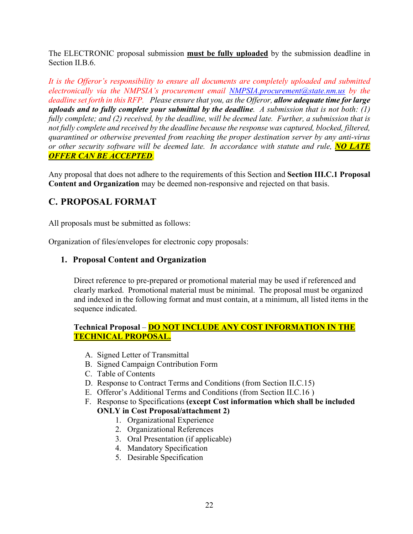The ELECTRONIC proposal submission **must be fully uploaded** by the submission deadline in Section II.B.6.

*It is the Offeror's responsibility to ensure all documents are completely uploaded and submitted electronically via the NMPSIA's procurement email NMPSIA.procurement@state.nm.us by the deadline set forth in this RFP. Please ensure that you, as the Offeror, allow adequate time for large uploads and to fully complete your submittal by the deadline. A submission that is not both: (1) fully complete; and (2) received, by the deadline, will be deemed late. Further, a submission that is not fully complete and received by the deadline because the response was captured, blocked, filtered, quarantined or otherwise prevented from reaching the proper destination server by any anti-virus or other security software will be deemed late. In accordance with statute and rule, NO LATE OFFER CAN BE ACCEPTED.* 

Any proposal that does not adhere to the requirements of this Section and **Section III.C.1 Proposal Content and Organization** may be deemed non-responsive and rejected on that basis.

## <span id="page-25-0"></span>**C. PROPOSAL FORMAT**

All proposals must be submitted as follows:

<span id="page-25-1"></span>Organization of files/envelopes for electronic copy proposals:

## **1. Proposal Content and Organization**

Direct reference to pre-prepared or promotional material may be used if referenced and clearly marked. Promotional material must be minimal. The proposal must be organized and indexed in the following format and must contain, at a minimum, all listed items in the sequence indicated.

### **Technical Proposal** – **DO NOT INCLUDE ANY COST INFORMATION IN THE TECHNICAL PROPOSAL.**

- A. Signed Letter of Transmittal
- B. Signed Campaign Contribution Form
- C. Table of Contents
- D. Response to Contract Terms and Conditions (from Section II.C.15)
- E. Offeror's Additional Terms and Conditions (from Section II.C.16 )
- F. Response to Specifications **(except Cost information which shall be included**

### **ONLY in Cost Proposal/attachment 2)**

- 1. Organizational Experience
- 2. Organizational References
- 3. Oral Presentation (if applicable)
- 4. Mandatory Specification
- 5. Desirable Specification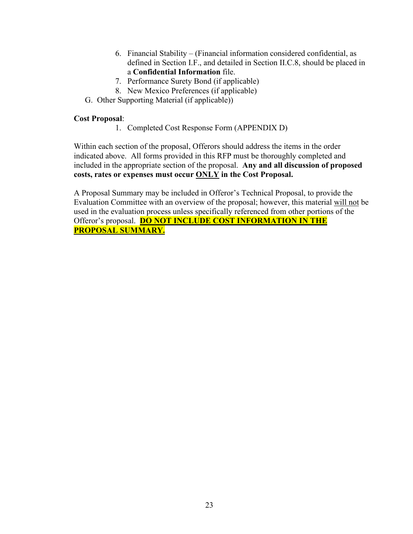- 6. Financial Stability (Financial information considered confidential, as defined in Section I.F., and detailed in Section II.C.8, should be placed in a **Confidential Information** file.
- 7. Performance Surety Bond (if applicable)
- 8. New Mexico Preferences (if applicable)
- G. Other Supporting Material (if applicable))

#### **Cost Proposal**:

1. Completed Cost Response Form (APPENDIX D)

Within each section of the proposal, Offerors should address the items in the order indicated above. All forms provided in this RFP must be thoroughly completed and included in the appropriate section of the proposal. **Any and all discussion of proposed costs, rates or expenses must occur ONLY in the Cost Proposal.**

A Proposal Summary may be included in Offeror's Technical Proposal, to provide the Evaluation Committee with an overview of the proposal; however, this material will not be used in the evaluation process unless specifically referenced from other portions of the Offeror's proposal. **DO NOT INCLUDE COST INFORMATION IN THE PROPOSAL SUMMARY.**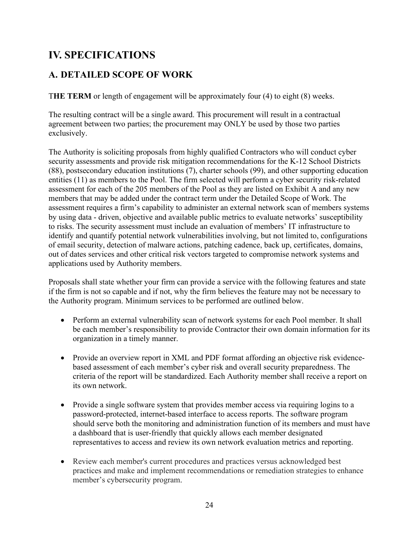# <span id="page-27-0"></span>**IV. SPECIFICATIONS**

# <span id="page-27-1"></span>**A. DETAILED SCOPE OF WORK**

T**HE TERM** or length of engagement will be approximately four (4) to eight (8) weeks.

The resulting contract will be a single award. This procurement will result in a contractual agreement between two parties; the procurement may ONLY be used by those two parties exclusively.

The Authority is soliciting proposals from highly qualified Contractors who will conduct cyber security assessments and provide risk mitigation recommendations for the K-12 School Districts (88), postsecondary education institutions (7), charter schools (99), and other supporting education entities (11) as members to the Pool. The firm selected will perform a cyber security risk-related assessment for each of the 205 members of the Pool as they are listed on Exhibit A and any new members that may be added under the contract term under the Detailed Scope of Work. The assessment requires a firm's capability to administer an external network scan of members systems by using data - driven, objective and available public metrics to evaluate networks' susceptibility to risks. The security assessment must include an evaluation of members' IT infrastructure to identify and quantify potential network vulnerabilities involving, but not limited to, configurations of email security, detection of malware actions, patching cadence, back up, certificates, domains, out of dates services and other critical risk vectors targeted to compromise network systems and applications used by Authority members.

Proposals shall state whether your firm can provide a service with the following features and state if the firm is not so capable and if not, why the firm believes the feature may not be necessary to the Authority program. Minimum services to be performed are outlined below.

- Perform an external vulnerability scan of network systems for each Pool member. It shall be each member's responsibility to provide Contractor their own domain information for its organization in a timely manner.
- Provide an overview report in XML and PDF format affording an objective risk evidencebased assessment of each member's cyber risk and overall security preparedness. The criteria of the report will be standardized. Each Authority member shall receive a report on its own network.
- Provide a single software system that provides member access via requiring logins to a password-protected, internet-based interface to access reports. The software program should serve both the monitoring and administration function of its members and must have a dashboard that is user-friendly that quickly allows each member designated representatives to access and review its own network evaluation metrics and reporting.
- Review each member's current procedures and practices versus acknowledged best practices and make and implement recommendations or remediation strategies to enhance member's cybersecurity program.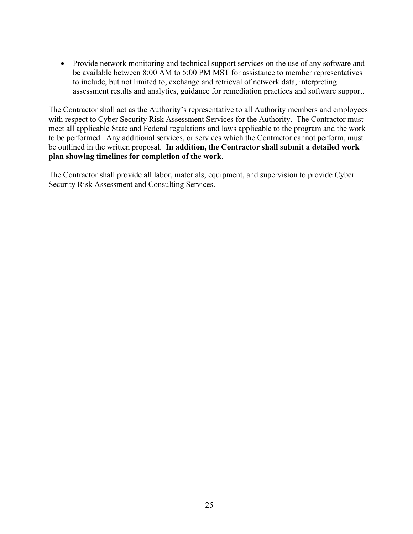• Provide network monitoring and technical support services on the use of any software and be available between 8:00 AM to 5:00 PM MST for assistance to member representatives to include, but not limited to, exchange and retrieval of network data, interpreting assessment results and analytics, guidance for remediation practices and software support.

The Contractor shall act as the Authority's representative to all Authority members and employees with respect to Cyber Security Risk Assessment Services for the Authority. The Contractor must meet all applicable State and Federal regulations and laws applicable to the program and the work to be performed. Any additional services, or services which the Contractor cannot perform, must be outlined in the written proposal. **In addition, the Contractor shall submit a detailed work plan showing timelines for completion of the work**.

The Contractor shall provide all labor, materials, equipment, and supervision to provide Cyber Security Risk Assessment and Consulting Services.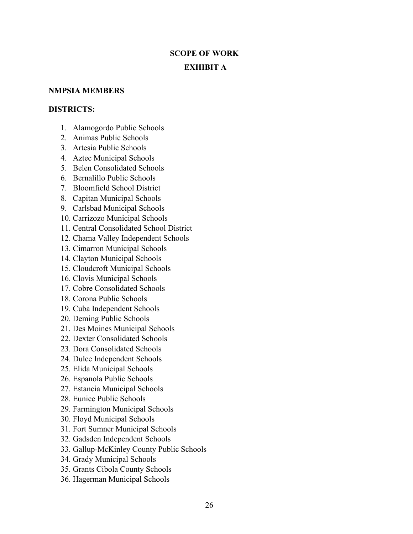# **SCOPE OF WORK EXHIBIT A**

#### **NMPSIA MEMBERS**

#### **DISTRICTS:**

- 1. Alamogordo Public Schools
- 2. Animas Public Schools
- 3. Artesia Public Schools
- 4. Aztec Municipal Schools
- 5. Belen Consolidated Schools
- 6. Bernalillo Public Schools
- 7. Bloomfield School District
- 8. Capitan Municipal Schools
- 9. Carlsbad Municipal Schools
- 10. Carrizozo Municipal Schools
- 11. Central Consolidated School District
- 12. Chama Valley Independent Schools
- 13. Cimarron Municipal Schools
- 14. Clayton Municipal Schools
- 15. Cloudcroft Municipal Schools
- 16. Clovis Municipal Schools
- 17. Cobre Consolidated Schools
- 18. Corona Public Schools
- 19. Cuba Independent Schools
- 20. Deming Public Schools
- 21. Des Moines Municipal Schools
- 22. Dexter Consolidated Schools
- 23. Dora Consolidated Schools
- 24. Dulce Independent Schools
- 25. Elida Municipal Schools
- 26. Espanola Public Schools
- 27. Estancia Municipal Schools
- 28. Eunice Public Schools
- 29. Farmington Municipal Schools
- 30. Floyd Municipal Schools
- 31. Fort Sumner Municipal Schools
- 32. Gadsden Independent Schools
- 33. Gallup-McKinley County Public Schools
- 34. Grady Municipal Schools
- 35. Grants Cibola County Schools
- 36. Hagerman Municipal Schools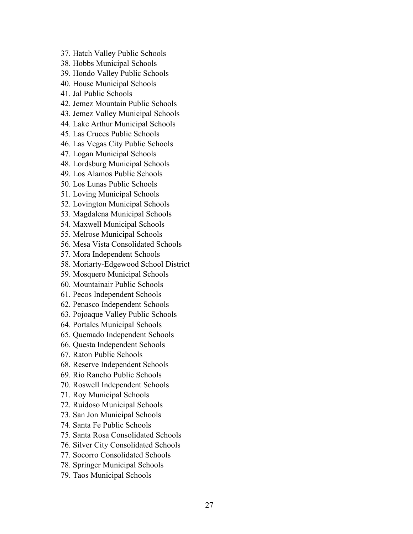- 37. Hatch Valley Public Schools
- 38. Hobbs Municipal Schools
- 39. Hondo Valley Public Schools
- 40. House Municipal Schools
- 41. Jal Public Schools
- 42. Jemez Mountain Public Schools
- 43. Jemez Valley Municipal Schools
- 44. Lake Arthur Municipal Schools
- 45. Las Cruces Public Schools
- 46. Las Vegas City Public Schools
- 47. Logan Municipal Schools
- 48. Lordsburg Municipal Schools
- 49. Los Alamos Public Schools
- 50. Los Lunas Public Schools
- 51. Loving Municipal Schools
- 52. Lovington Municipal Schools
- 53. Magdalena Municipal Schools
- 54. Maxwell Municipal Schools
- 55. Melrose Municipal Schools
- 56. Mesa Vista Consolidated Schools
- 57. Mora Independent Schools
- 58. Moriarty-Edgewood School District
- 59. Mosquero Municipal Schools
- 60. Mountainair Public Schools
- 61. Pecos Independent Schools
- 62. Penasco Independent Schools
- 63. Pojoaque Valley Public Schools
- 64. Portales Municipal Schools
- 65. Quemado Independent Schools
- 66. Questa Independent Schools
- 67. Raton Public Schools
- 68. Reserve Independent Schools
- 69. Rio Rancho Public Schools
- 70. Roswell Independent Schools
- 71. Roy Municipal Schools
- 72. Ruidoso Municipal Schools
- 73. San Jon Municipal Schools
- 74. Santa Fe Public Schools
- 75. Santa Rosa Consolidated Schools
- 76. Silver City Consolidated Schools
- 77. Socorro Consolidated Schools
- 78. Springer Municipal Schools
- 79. Taos Municipal Schools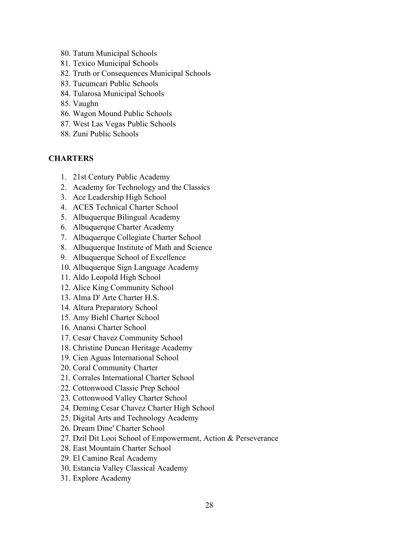- 80. Tatum Municipal Schools
- 81. Texico Municipal Schools
- 82. Truth or Consequences Municipal Schools
- 83. Tucumcari Public Schools
- 84. Tularosa Municipal Schools
- 85. Vaughn
- 86. Wagon Mound Public Schools
- 87. West Las Vegas Public Schools
- 88. Zuni Public Schools

## **CHARTERS**

- 1. 21st Century Public Academy
- 2. Academy for Technology and the Classics
- 3. Ace Leadership High School
- 4. ACES Technical Charter School
- 5. Albuquerque Bilingual Academy
- 6. Albuquerque Charter Academy
- 7. Albuquerque Collegiate Charter School
- 8. Albuquerque Institute of Math and Science
- 9. Albuquerque School of Excellence
- 10. Albuquerque Sign Language Academy
- 11. Aldo Leopold High School
- 12. Alice King Community School
- 13. Alma D' Arte Charter H.S.
- 14. Altura Preparatory School
- 15. Amy Biehl Charter School
- 16. Anansi Charter School
- 17. Cesar Chavez Community School
- 18. Christine Duncan Heritage Academy
- 19. Cien Aguas International School
- 20. Coral Community Charter
- 21. Corrales International Charter School
- 22. Cottonwood Classic Prep School
- 23. Cottonwood Valley Charter School
- 24. Deming Cesar Chavez Charter High School
- 25. Digital Arts and Technology Academy
- 26. Dream Dine' Charter School
- 27. Dzil Dit Looi School of Empowerment, Action & Perseverance
- 28. East Mountain Charter School
- 29. El Camino Real Academy
- 30. Estancia Valley Classical Academy
- 31. Explore Academy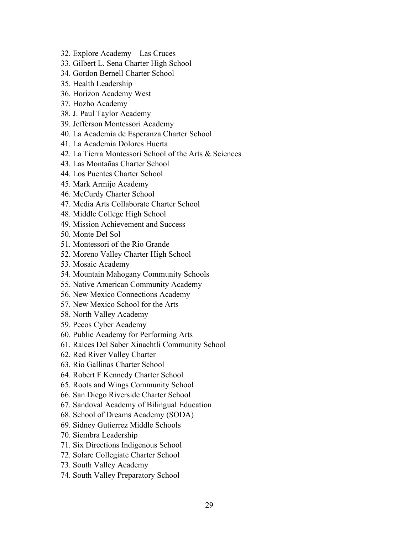- 32. Explore Academy Las Cruces
- 33. Gilbert L. Sena Charter High School
- 34. Gordon Bernell Charter School
- 35. Health Leadership
- 36. Horizon Academy West
- 37. Hozho Academy
- 38. J. Paul Taylor Academy
- 39. Jefferson Montessori Academy
- 40. La Academia de Esperanza Charter School
- 41. La Academia Dolores Huerta
- 42. La Tierra Montessori School of the Arts & Sciences
- 43. Las Montañas Charter School
- 44. Los Puentes Charter School
- 45. Mark Armijo Academy
- 46. McCurdy Charter School
- 47. Media Arts Collaborate Charter School
- 48. Middle College High School
- 49. Mission Achievement and Success
- 50. Monte Del Sol
- 51. Montessori of the Rio Grande
- 52. Moreno Valley Charter High School
- 53. Mosaic Academy
- 54. Mountain Mahogany Community Schools
- 55. Native American Community Academy
- 56. New Mexico Connections Academy
- 57. New Mexico School for the Arts
- 58. North Valley Academy
- 59. Pecos Cyber Academy
- 60. Public Academy for Performing Arts
- 61. Raices Del Saber Xinachtli Community School
- 62. Red River Valley Charter
- 63. Rio Gallinas Charter School
- 64. Robert F Kennedy Charter School
- 65. Roots and Wings Community School
- 66. San Diego Riverside Charter School
- 67. Sandoval Academy of Bilingual Education
- 68. School of Dreams Academy (SODA)
- 69. Sidney Gutierrez Middle Schools
- 70. Siembra Leadership
- 71. Six Directions Indigenous School
- 72. Solare Collegiate Charter School
- 73. South Valley Academy
- 74. South Valley Preparatory School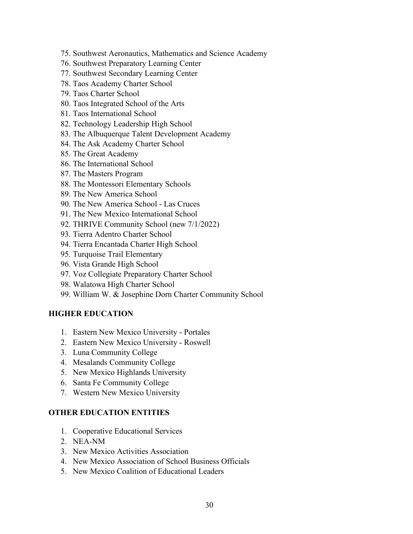- 75. Southwest Aeronautics, Mathematics and Science Academy
- 76. Southwest Preparatory Learning Center
- 77. Southwest Secondary Learning Center
- 78. Taos Academy Charter School
- 79. Taos Charter School
- 80. Taos Integrated School of the Arts
- 81. Taos International School
- 82. Technology Leadership High School
- 83. The Albuquerque Talent Development Academy
- 84. The Ask Academy Charter School
- 85. The Great Academy
- 86. The International School
- 87. The Masters Program
- 88. The Montessori Elementary Schools
- 89. The New America School
- 90. The New America School Las Cruces
- 91. The New Mexico International School
- 92. THRIVE Community School (new 7/1/2022)
- 93. Tierra Adentro Charter School
- 94. Tierra Encantada Charter High School
- 95. Turquoise Trail Elementary
- 96. Vista Grande High School
- 97. Voz Collegiate Preparatory Charter School
- 98. Walatowa High Charter School
- 99. William W. & Josephine Dorn Charter Community School

### **HIGHER EDUCATION**

- 1. Eastern New Mexico University Portales
- 2. Eastern New Mexico University Roswell
- 3. Luna Community College
- 4. Mesalands Community College
- 5. New Mexico Highlands University
- 6. Santa Fe Community College
- 7. Western New Mexico University

#### **OTHER EDUCATION ENTITIES**

- 1. Cooperative Educational Services
- 2. NEA-NM
- 3. New Mexico Activities Association
- 4. New Mexico Association of School Business Officials
- 5. New Mexico Coalition of Educational Leaders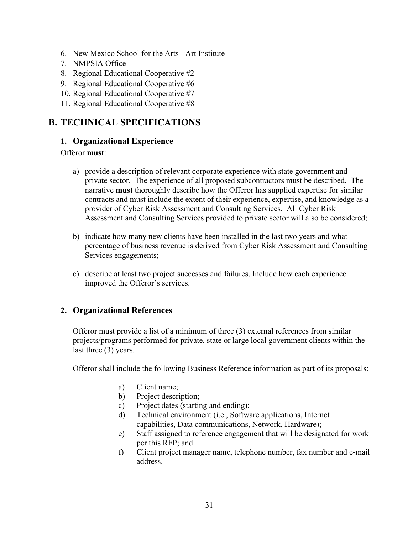- 6. New Mexico School for the Arts Art Institute
- 7. NMPSIA Office
- 8. Regional Educational Cooperative #2
- 9. Regional Educational Cooperative #6
- 10. Regional Educational Cooperative #7
- 11. Regional Educational Cooperative #8

## <span id="page-34-1"></span><span id="page-34-0"></span>**B. TECHNICAL SPECIFICATIONS**

### **1. Organizational Experience**

#### Offeror **must**:

- a) provide a description of relevant corporate experience with state government and private sector. The experience of all proposed subcontractors must be described. The narrative **must** thoroughly describe how the Offeror has supplied expertise for similar contracts and must include the extent of their experience, expertise, and knowledge as a provider of Cyber Risk Assessment and Consulting Services. All Cyber Risk Assessment and Consulting Services provided to private sector will also be considered;
- b) indicate how many new clients have been installed in the last two years and what percentage of business revenue is derived from Cyber Risk Assessment and Consulting Services engagements;
- c) describe at least two project successes and failures. Include how each experience improved the Offeror's services.

### <span id="page-34-2"></span>**2. Organizational References**

Offeror must provide a list of a minimum of three (3) external references from similar projects/programs performed for private, state or large local government clients within the last three (3) years.

Offeror shall include the following Business Reference information as part of its proposals:

- a) Client name;
- b) Project description;
- c) Project dates (starting and ending);
- d) Technical environment (i.e., Software applications, Internet capabilities, Data communications, Network, Hardware);
- e) Staff assigned to reference engagement that will be designated for work per this RFP; and
- f) Client project manager name, telephone number, fax number and e-mail address.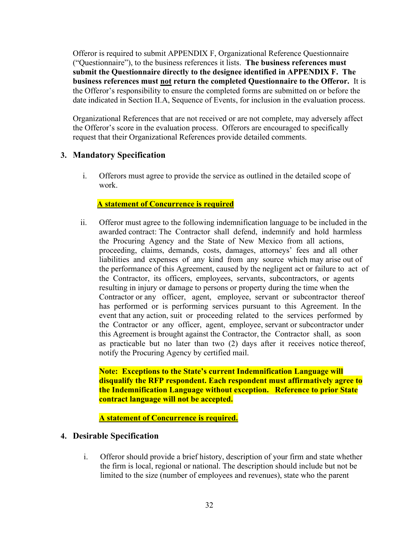Offeror is required to submit APPENDIX F, Organizational Reference Questionnaire ("Questionnaire"), to the business references it lists. **The business references must submit the Questionnaire directly to the designee identified in APPENDIX F. The business references must not return the completed Questionnaire to the Offeror.** It is the Offeror's responsibility to ensure the completed forms are submitted on or before the date indicated in Section II.A, Sequence of Events, for inclusion in the evaluation process.

Organizational References that are not received or are not complete, may adversely affect the Offeror's score in the evaluation process. Offerors are encouraged to specifically request that their Organizational References provide detailed comments.

## <span id="page-35-0"></span>**3. Mandatory Specification**

i. Offerors must agree to provide the service as outlined in the detailed scope of work.

#### **A statement of Concurrence is required**

ii. Offeror must agree to the following indemnification language to be included in the awarded contract: The Contractor shall defend, indemnify and hold harmless the Procuring Agency and the State of New Mexico from all actions, proceeding, claims, demands, costs, damages, attorneys' fees and all other liabilities and expenses of any kind from any source which may arise out of the performance of this Agreement, caused by the negligent act or failure to act of the Contractor, its officers, employees, servants, subcontractors, or agents resulting in injury or damage to persons or property during the time when the Contractor or any officer, agent, employee, servant or subcontractor thereof has performed or is performing services pursuant to this Agreement. In the event that any action, suit or proceeding related to the services performed by the Contractor or any officer, agent, employee, servant or subcontractor under this Agreement is brought against the Contractor, the Contractor shall, as soon as practicable but no later than two (2) days after it receives notice thereof, notify the Procuring Agency by certified mail.

**Note: Exceptions to the State's current Indemnification Language will disqualify the RFP respondent. Each respondent must affirmatively agree to the Indemnification Language without exception. Reference to prior State contract language will not be accepted.**

**A statement of Concurrence is required.**

### <span id="page-35-1"></span>**4. Desirable Specification**

i. Offeror should provide a brief history, description of your firm and state whether the firm is local, regional or national. The description should include but not be limited to the size (number of employees and revenues), state who the parent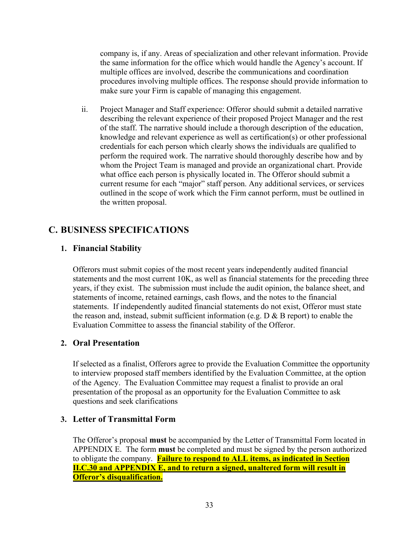company is, if any. Areas of specialization and other relevant information. Provide the same information for the office which would handle the Agency's account. If multiple offices are involved, describe the communications and coordination procedures involving multiple offices. The response should provide information to make sure your Firm is capable of managing this engagement.

ii. Project Manager and Staff experience: Offeror should submit a detailed narrative describing the relevant experience of their proposed Project Manager and the rest of the staff. The narrative should include a thorough description of the education, knowledge and relevant experience as well as certification(s) or other professional credentials for each person which clearly shows the individuals are qualified to perform the required work. The narrative should thoroughly describe how and by whom the Project Team is managed and provide an organizational chart. Provide what office each person is physically located in. The Offeror should submit a current resume for each "major" staff person. Any additional services, or services outlined in the scope of work which the Firm cannot perform, must be outlined in the written proposal.

## <span id="page-36-1"></span><span id="page-36-0"></span>**C. BUSINESS SPECIFICATIONS**

## **1. Financial Stability**

Offerors must submit copies of the most recent years independently audited financial statements and the most current 10K, as well as financial statements for the preceding three years, if they exist. The submission must include the audit opinion, the balance sheet, and statements of income, retained earnings, cash flows, and the notes to the financial statements. If independently audited financial statements do not exist, Offeror must state the reason and, instead, submit sufficient information (e.g.  $D \& B$  report) to enable the Evaluation Committee to assess the financial stability of the Offeror.

### <span id="page-36-2"></span>**2. Oral Presentation**

If selected as a finalist, Offerors agree to provide the Evaluation Committee the opportunity to interview proposed staff members identified by the Evaluation Committee, at the option of the Agency. The Evaluation Committee may request a finalist to provide an oral presentation of the proposal as an opportunity for the Evaluation Committee to ask questions and seek clarifications

### <span id="page-36-3"></span>**3. Letter of Transmittal Form**

The Offeror's proposal **must** be accompanied by the Letter of Transmittal Form located in APPENDIX E. The form **must** be completed and must be signed by the person authorized to obligate the company. **Failure to respond to ALL items, as indicated in Section II.C.30 and APPENDIX E, and to return a signed, unaltered form will result in Offeror's disqualification.**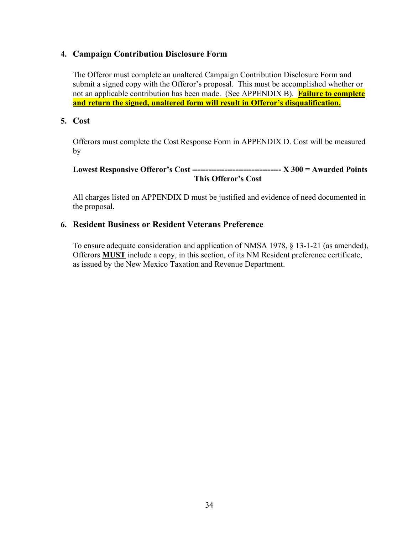## <span id="page-37-0"></span>**4. Campaign Contribution Disclosure Form**

The Offeror must complete an unaltered Campaign Contribution Disclosure Form and submit a signed copy with the Offeror's proposal. This must be accomplished whether or not an applicable contribution has been made. (See APPENDIX B). **Failure to complete and return the signed, unaltered form will result in Offeror's disqualification.**

### <span id="page-37-1"></span>**5. Cost**

Offerors must complete the Cost Response Form in APPENDIX D. Cost will be measured by

## **Lowest Responsive Offeror's Cost --------------------------------- X 300 = Awarded Points This Offeror's Cost**

All charges listed on APPENDIX D must be justified and evidence of need documented in the proposal.

## <span id="page-37-2"></span>**6. Resident Business or Resident Veterans Preference**

To ensure adequate consideration and application of NMSA 1978, § 13-1-21 (as amended), Offerors **MUST** include a copy, in this section, of its NM Resident preference certificate, as issued by the New Mexico Taxation and Revenue Department.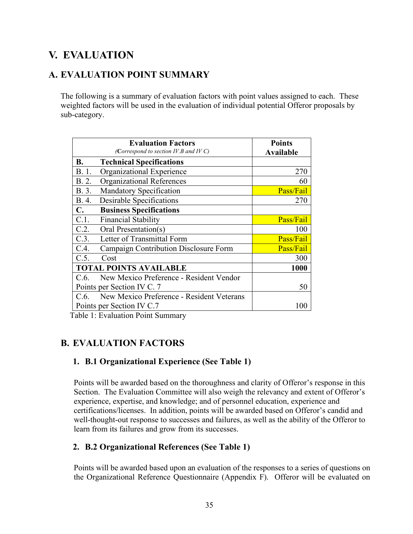# <span id="page-38-0"></span>**V. EVALUATION**

## <span id="page-38-1"></span>**A. EVALUATION POINT SUMMARY**

The following is a summary of evaluation factors with point values assigned to each. These weighted factors will be used in the evaluation of individual potential Offeror proposals by sub-category.

|           | <b>Evaluation Factors</b>                 | <b>Points</b>    |
|-----------|-------------------------------------------|------------------|
|           | (Correspond to section IV.B and IV C)     | <b>Available</b> |
| <b>B.</b> | <b>Technical Specifications</b>           |                  |
| B. 1.     | Organizational Experience                 | 270              |
| B. 2.     | <b>Organizational References</b>          | 60               |
| B. 3.     | Mandatory Specification                   | Pass/Fail        |
| B. 4.     | Desirable Specifications                  | 270              |
| С.        | <b>Business Specifications</b>            |                  |
| C.1.      | <b>Financial Stability</b>                | Pass/Fail        |
| C.2.      | Oral Presentation(s)                      | 100              |
| C.3.      | Letter of Transmittal Form                | Pass/Fail        |
| C.4.      | Campaign Contribution Disclosure Form     | Pass/Fail        |
| C.5.      | Cost                                      | 300              |
|           | <b>TOTAL POINTS AVAILABLE</b>             | 1000             |
| C.6.      | New Mexico Preference - Resident Vendor   |                  |
|           | Points per Section IV C. 7                | 50               |
| C.6.      | New Mexico Preference - Resident Veterans |                  |
|           | Points per Section IV C.7                 | 1 O C            |

Table 1: Evaluation Point Summary

## <span id="page-38-3"></span><span id="page-38-2"></span>**B. EVALUATION FACTORS**

## **1. B.1 Organizational Experience (See Table 1)**

Points will be awarded based on the thoroughness and clarity of Offeror's response in this Section. The Evaluation Committee will also weigh the relevancy and extent of Offeror's experience, expertise, and knowledge; and of personnel education, experience and certifications/licenses. In addition, points will be awarded based on Offeror's candid and well-thought-out response to successes and failures, as well as the ability of the Offeror to learn from its failures and grow from its successes.

## <span id="page-38-4"></span>**2. B.2 Organizational References (See Table 1)**

Points will be awarded based upon an evaluation of the responses to a series of questions on the Organizational Reference Questionnaire (Appendix F). Offeror will be evaluated on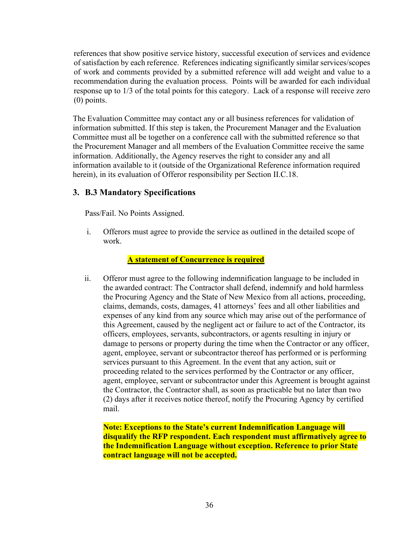references that show positive service history, successful execution of services and evidence of satisfaction by each reference. References indicating significantly similar services/scopes of work and comments provided by a submitted reference will add weight and value to a recommendation during the evaluation process. Points will be awarded for each individual response up to 1/3 of the total points for this category. Lack of a response will receive zero (0) points.

The Evaluation Committee may contact any or all business references for validation of information submitted. If this step is taken, the Procurement Manager and the Evaluation Committee must all be together on a conference call with the submitted reference so that the Procurement Manager and all members of the Evaluation Committee receive the same information. Additionally, the Agency reserves the right to consider any and all information available to it (outside of the Organizational Reference information required herein), in its evaluation of Offeror responsibility per Section II.C.18.

## <span id="page-39-0"></span>**3. B.3 Mandatory Specifications**

Pass/Fail. No Points Assigned.

i. Offerors must agree to provide the service as outlined in the detailed scope of work.

#### **A statement of Concurrence is required**

ii. Offeror must agree to the following indemnification language to be included in the awarded contract: The Contractor shall defend, indemnify and hold harmless the Procuring Agency and the State of New Mexico from all actions, proceeding, claims, demands, costs, damages, 41 attorneys' fees and all other liabilities and expenses of any kind from any source which may arise out of the performance of this Agreement, caused by the negligent act or failure to act of the Contractor, its officers, employees, servants, subcontractors, or agents resulting in injury or damage to persons or property during the time when the Contractor or any officer, agent, employee, servant or subcontractor thereof has performed or is performing services pursuant to this Agreement. In the event that any action, suit or proceeding related to the services performed by the Contractor or any officer, agent, employee, servant or subcontractor under this Agreement is brought against the Contractor, the Contractor shall, as soon as practicable but no later than two (2) days after it receives notice thereof, notify the Procuring Agency by certified mail.

**Note: Exceptions to the State's current Indemnification Language will disqualify the RFP respondent. Each respondent must affirmatively agree to the Indemnification Language without exception. Reference to prior State contract language will not be accepted.**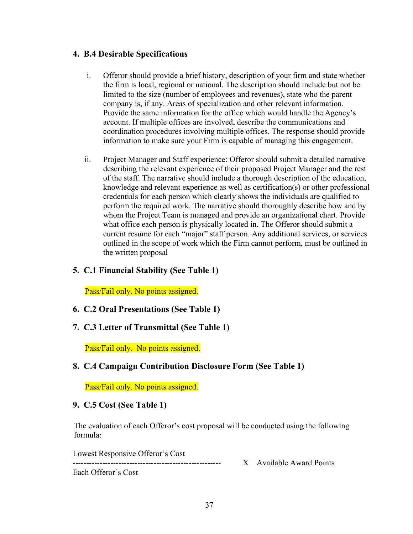## <span id="page-40-0"></span>**4. B.4 Desirable Specifications**

- i. Offeror should provide a brief history, description of your firm and state whether the firm is local, regional or national. The description should include but not be limited to the size (number of employees and revenues), state who the parent company is, if any. Areas of specialization and other relevant information. Provide the same information for the office which would handle the Agency's account. If multiple offices are involved, describe the communications and coordination procedures involving multiple offices. The response should provide information to make sure your Firm is capable of managing this engagement.
- ii. Project Manager and Staff experience: Offeror should submit a detailed narrative describing the relevant experience of their proposed Project Manager and the rest of the staff. The narrative should include a thorough description of the education, knowledge and relevant experience as well as certification(s) or other professional credentials for each person which clearly shows the individuals are qualified to perform the required work. The narrative should thoroughly describe how and by whom the Project Team is managed and provide an organizational chart. Provide what office each person is physically located in. The Offeror should submit a current resume for each "major" staff person. Any additional services, or services outlined in the scope of work which the Firm cannot perform, must be outlined in the written proposal

## <span id="page-40-1"></span>**5. C.1 Financial Stability (See Table 1)**

Pass/Fail only. No points assigned.

- <span id="page-40-2"></span>**6. C.2 Oral Presentations (See Table 1)**
- <span id="page-40-3"></span>**7. C.3 Letter of Transmittal (See Table 1)**

Pass/Fail only. No points assigned.

<span id="page-40-4"></span>**8. C.4 Campaign Contribution Disclosure Form (See Table 1)** 

Pass/Fail only. No points assigned.

<span id="page-40-5"></span>**9. C.5 Cost (See Table 1)** 

The evaluation of each Offeror's cost proposal will be conducted using the following formula:

Lowest Responsive Offeror's Cost

X Available Award Points

Each Offeror's Cost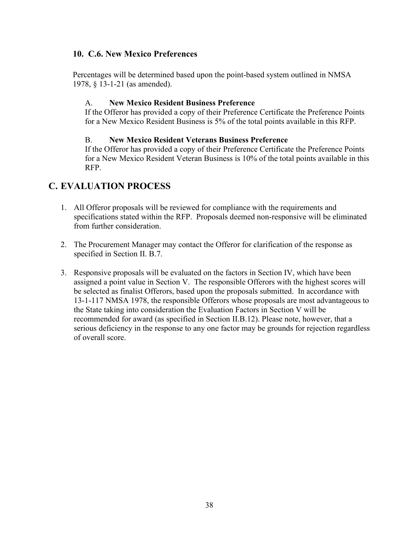## <span id="page-41-0"></span>**10. C.6. New Mexico Preferences**

Percentages will be determined based upon the point-based system outlined in NMSA 1978, § 13-1-21 (as amended).

#### A. **New Mexico Resident Business Preference**

If the Offeror has provided a copy of their Preference Certificate the Preference Points for a New Mexico Resident Business is 5% of the total points available in this RFP.

#### B. **New Mexico Resident Veterans Business Preference**

If the Offeror has provided a copy of their Preference Certificate the Preference Points for a New Mexico Resident Veteran Business is 10% of the total points available in this RFP.

## <span id="page-41-1"></span>**C. EVALUATION PROCESS**

- 1. All Offeror proposals will be reviewed for compliance with the requirements and specifications stated within the RFP. Proposals deemed non-responsive will be eliminated from further consideration.
- 2. The Procurement Manager may contact the Offeror for clarification of the response as specified in Section II. B.7.
- 3. Responsive proposals will be evaluated on the factors in Section IV, which have been assigned a point value in Section V. The responsible Offerors with the highest scores will be selected as finalist Offerors, based upon the proposals submitted. In accordance with 13-1-117 NMSA 1978, the responsible Offerors whose proposals are most advantageous to the State taking into consideration the Evaluation Factors in Section V will be recommended for award (as specified in Section II.B.12). Please note, however, that a serious deficiency in the response to any one factor may be grounds for rejection regardless of overall score.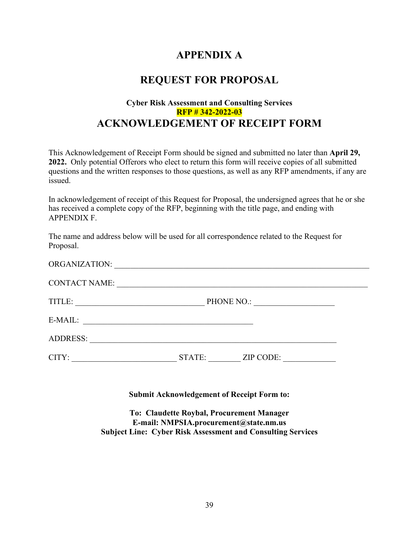# **APPENDIX A**

## **REQUEST FOR PROPOSAL**

## **Cyber Risk Assessment and Consulting Services RFP # 342-2022-03 ACKNOWLEDGEMENT OF RECEIPT FORM**

This Acknowledgement of Receipt Form should be signed and submitted no later than **April 29, 2022.** Only potential Offerors who elect to return this form will receive copies of all submitted questions and the written responses to those questions, as well as any RFP amendments, if any are issued.

In acknowledgement of receipt of this Request for Proposal, the undersigned agrees that he or she has received a complete copy of the RFP, beginning with the title page, and ending with APPENDIX F.

The name and address below will be used for all correspondence related to the Request for Proposal.

| <b>ORGANIZATION:</b> |            |           |
|----------------------|------------|-----------|
| <b>CONTACT NAME:</b> |            |           |
| TITLE:               | PHONE NO.: |           |
| E-MAIL:              |            |           |
| <b>ADDRESS:</b>      |            |           |
| CITY:                | STATE:     | ZIP CODE: |

**Submit Acknowledgement of Receipt Form to:**

**To: Claudette Roybal, Procurement Manager E-mail: NMPSIA.procurement@state.nm.us Subject Line: Cyber Risk Assessment and Consulting Services**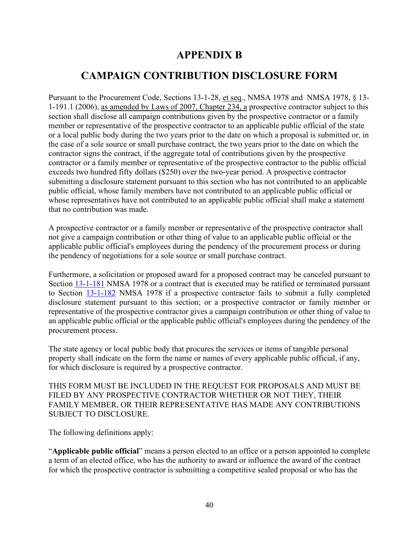# **APPENDIX B**

# <span id="page-43-0"></span>**CAMPAIGN CONTRIBUTION DISCLOSURE FORM**

<span id="page-43-1"></span>Pursuant to the Procurement Code, Sections 13-1-28, et seq., NMSA 1978 and NMSA 1978, § 13- 1-191.1 (2006), as amended by Laws of 2007, Chapter 234, a prospective contractor subject to this section shall disclose all campaign contributions given by the prospective contractor or a family member or representative of the prospective contractor to an applicable public official of the state or a local public body during the two years prior to the date on which a proposal is submitted or, in the case of a sole source or small purchase contract, the two years prior to the date on which the contractor signs the contract, if the aggregate total of contributions given by the prospective contractor or a family member or representative of the prospective contractor to the public official exceeds two hundred fifty dollars (\$250) over the two-year period. A prospective contractor submitting a disclosure statement pursuant to this section who has not contributed to an applicable public official, whose family members have not contributed to an applicable public official or whose representatives have not contributed to an applicable public official shall make a statement that no contribution was made.

A prospective contractor or a family member or representative of the prospective contractor shall not give a campaign contribution or other thing of value to an applicable public official or the applicable public official's employees during the pendency of the procurement process or during the pendency of negotiations for a sole source or small purchase contract.

Furthermore, a solicitation or proposed award for a proposed contract may be canceled pursuant to Section [13-1-181](http://mobile.nmonesource.com/nxt/gateway.dll?f=jumplink$jumplink_x=Advanced$jumplink_vpc=first$jumplink_xsl=querylink.xsl$jumplink_sel=title;path;content-type;home-title;item-bookmark$jumplink_d=%7bnmsa1978%7d$jumplink_q=%5bfield%20folio-destination-name:) NMSA 1978 or a contract that is executed may be ratified or terminated pursuant to Section [13-1-182](http://mobile.nmonesource.com/nxt/gateway.dll?f=jumplink$jumplink_x=Advanced$jumplink_vpc=first$jumplink_xsl=querylink.xsl$jumplink_sel=title;path;content-type;home-title;item-bookmark$jumplink_d=%7bnmsa1978%7d$jumplink_q=%5bfield%20folio-destination-name:) NMSA 1978 if a prospective contractor fails to submit a fully completed disclosure statement pursuant to this section; or a prospective contractor or family member or representative of the prospective contractor gives a campaign contribution or other thing of value to an applicable public official or the applicable public official's employees during the pendency of the procurement process.

The state agency or local public body that procures the services or items of tangible personal property shall indicate on the form the name or names of every applicable public official, if any, for which disclosure is required by a prospective contractor.

THIS FORM MUST BE INCLUDED IN THE REQUEST FOR PROPOSALS AND MUST BE FILED BY ANY PROSPECTIVE CONTRACTOR WHETHER OR NOT THEY, THEIR FAMILY MEMBER, OR THEIR REPRESENTATIVE HAS MADE ANY CONTRIBUTIONS SUBJECT TO DISCLOSURE.

The following definitions apply:

"**Applicable public official**" means a person elected to an office or a person appointed to complete a term of an elected office, who has the authority to award or influence the award of the contract for which the prospective contractor is submitting a competitive sealed proposal or who has the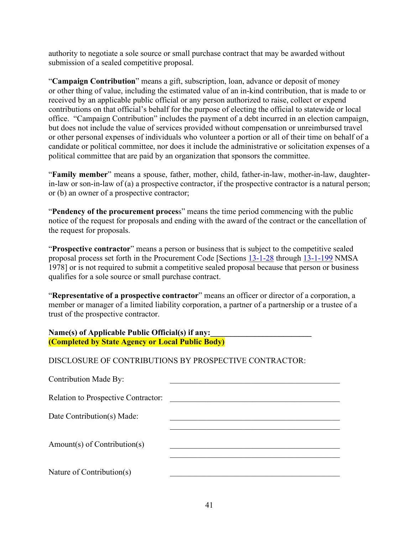authority to negotiate a sole source or small purchase contract that may be awarded without submission of a sealed competitive proposal.

"**Campaign Contribution**" means a gift, subscription, loan, advance or deposit of money or other thing of value, including the estimated value of an in-kind contribution, that is made to or received by an applicable public official or any person authorized to raise, collect or expend contributions on that official's behalf for the purpose of electing the official to statewide or local office. "Campaign Contribution" includes the payment of a debt incurred in an election campaign, but does not include the value of services provided without compensation or unreimbursed travel or other personal expenses of individuals who volunteer a portion or all of their time on behalf of a candidate or political committee, nor does it include the administrative or solicitation expenses of a political committee that are paid by an organization that sponsors the committee.

"**Family member**" means a spouse, father, mother, child, father-in-law, mother-in-law, daughterin-law or son-in-law of (a) a prospective contractor, if the prospective contractor is a natural person; or (b) an owner of a prospective contractor;

"**Pendency of the procurement proces**s" means the time period commencing with the public notice of the request for proposals and ending with the award of the contract or the cancellation of the request for proposals.

"**Prospective contractor**" means a person or business that is subject to the competitive sealed proposal process set forth in the Procurement Code [Sections [13-1-28](http://mobile.nmonesource.com/nxt/gateway.dll?f=jumplink$jumplink_x=Advanced$jumplink_vpc=first$jumplink_xsl=querylink.xsl$jumplink_sel=title;path;content-type;home-title;item-bookmark$jumplink_d=%7bnmsa1978%7d$jumplink_q=%5bfield%20folio-destination-name:) through [13-1-199](http://mobile.nmonesource.com/nxt/gateway.dll?f=jumplink$jumplink_x=Advanced$jumplink_vpc=first$jumplink_xsl=querylink.xsl$jumplink_sel=title;path;content-type;home-title;item-bookmark$jumplink_d=%7bnmsa1978%7d$jumplink_q=%5bfield%20folio-destination-name:) NMSA 1978] or is not required to submit a competitive sealed proposal because that person or business qualifies for a sole source or small purchase contract.

"**Representative of a prospective contractor**" means an officer or director of a corporation, a member or manager of a limited liability corporation, a partner of a partnership or a trustee of a trust of the prospective contractor.

#### Name(s) of Applicable Public Official(s) if any: **(Completed by State Agency or Local Public Body)**

DISCLOSURE OF CONTRIBUTIONS BY PROSPECTIVE CONTRACTOR:

Contribution Made By:

Relation to Prospective Contractor:

Date Contribution(s) Made:

Amount(s) of Contribution(s)

Nature of Contribution $(s)$ 

 $\mathcal{L}_\mathcal{L}$  , which is a set of the set of the set of the set of the set of the set of the set of the set of the set of the set of the set of the set of the set of the set of the set of the set of the set of the set of

 $\mathcal{L}_\mathcal{L}$  , which is a set of the set of the set of the set of the set of the set of the set of the set of the set of the set of the set of the set of the set of the set of the set of the set of the set of the set of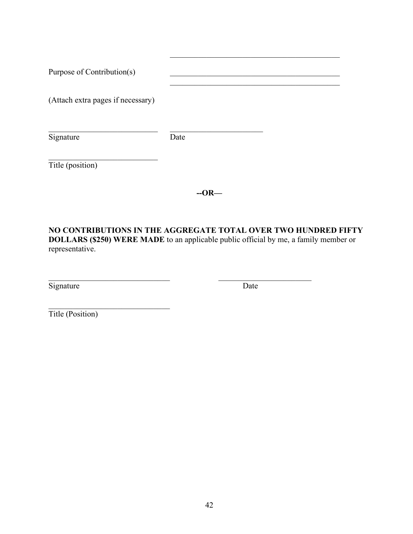| Purpose of Contribution(s)        |      |  |
|-----------------------------------|------|--|
| (Attach extra pages if necessary) |      |  |
| Signature                         | Date |  |
| Title (position)                  |      |  |

**--OR—**

**NO CONTRIBUTIONS IN THE AGGREGATE TOTAL OVER TWO HUNDRED FIFTY DOLLARS (\$250) WERE MADE** to an applicable public official by me, a family member or representative.

 $\mathcal{L}_\text{max}$  , and the contribution of the contribution of  $\mathcal{L}_\text{max}$  , and the contribution of  $\mathcal{L}_\text{max}$ 

Signature Date

 $\mathcal{L}_\mathcal{L}$  , which is a set of the set of the set of the set of the set of the set of the set of the set of the set of the set of the set of the set of the set of the set of the set of the set of the set of the set of

Title (Position)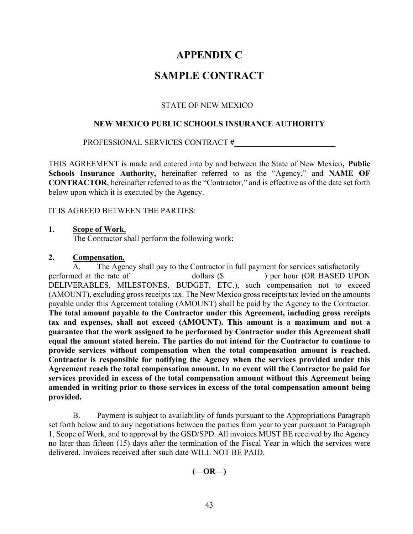## **APPENDIX C**

## **SAMPLE CONTRACT**

#### STATE OF NEW MEXICO

#### <span id="page-46-1"></span><span id="page-46-0"></span>**NEW MEXICO PUBLIC SCHOOLS INSURANCE AUTHORITY**

#### PROFESSIONAL SERVICES CONTRACT **#\_\_\_\_\_\_\_\_\_\_\_\_\_\_\_\_\_\_\_\_\_\_\_\_\_**

THIS AGREEMENT is made and entered into by and between the State of New Mexico, **Public Schools Insurance Authority,** hereinafter referred to as the "Agency," and **NAME OF CONTRACTOR**, hereinafter referred to as the "Contractor," and is effective as of the date set forth below upon which it is executed by the Agency.

#### IT IS AGREED BETWEEN THE PARTIES:

#### **1. Scope of Work.**

The Contractor shall perform the following work:

#### **2. Compensation***.*

A. The Agency shall pay to the Contractor in full payment for services satisfactorily performed at the rate of dollars (\$  $\qquad$  ) per hour (OR BASED UPON DELIVERABLES, MILESTONES, BUDGET, ETC.), such compensation not to exceed (AMOUNT), excluding gross receipts tax. The New Mexico gross receipts tax levied on the amounts payable under this Agreement totaling (AMOUNT) shall be paid by the Agency to the Contractor. **The total amount payable to the Contractor under this Agreement, including gross receipts tax and expenses, shall not exceed (AMOUNT). This amount is a maximum and not a guarantee that the work assigned to be performed by Contractor under this Agreement shall equal the amount stated herein. The parties do not intend for the Contractor to continue to provide services without compensation when the total compensation amount is reached. Contractor is responsible for notifying the Agency when the services provided under this Agreement reach the total compensation amount. In no event will the Contractor be paid for services provided in excess of the total compensation amount without this Agreement being amended in writing prior to those services in excess of the total compensation amount being provided.**

B. Payment is subject to availability of funds pursuant to the Appropriations Paragraph set forth below and to any negotiations between the parties from year to year pursuant to Paragraph 1, Scope of Work, and to approval by the GSD/SPD. All invoices MUST BE received by the Agency no later than fifteen (15) days after the termination of the Fiscal Year in which the services were delivered. Invoices received after such date WILL NOT BE PAID.

**(—OR—)**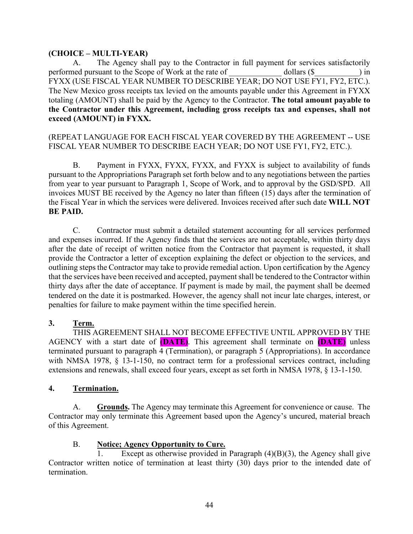### **(CHOICE – MULTI-YEAR)**

A. The Agency shall pay to the Contractor in full payment for services satisfactorily performed pursuant to the Scope of Work at the rate of dollars (\$  $\qquad \qquad$  ) in FYXX (USE FISCAL YEAR NUMBER TO DESCRIBE YEAR; DO NOT USE FY1, FY2, ETC.). The New Mexico gross receipts tax levied on the amounts payable under this Agreement in FYXX totaling (AMOUNT) shall be paid by the Agency to the Contractor. **The total amount payable to the Contractor under this Agreement, including gross receipts tax and expenses, shall not exceed (AMOUNT) in FYXX.**

## (REPEAT LANGUAGE FOR EACH FISCAL YEAR COVERED BY THE AGREEMENT -- USE FISCAL YEAR NUMBER TO DESCRIBE EACH YEAR; DO NOT USE FY1, FY2, ETC.).

B. Payment in FYXX, FYXX, FYXX, and FYXX is subject to availability of funds pursuant to the Appropriations Paragraph set forth below and to any negotiations between the parties from year to year pursuant to Paragraph 1, Scope of Work, and to approval by the GSD/SPD. All invoices MUST BE received by the Agency no later than fifteen (15) days after the termination of the Fiscal Year in which the services were delivered. Invoices received after such date **WILL NOT BE PAID.**

C. Contractor must submit a detailed statement accounting for all services performed and expenses incurred. If the Agency finds that the services are not acceptable, within thirty days after the date of receipt of written notice from the Contractor that payment is requested, it shall provide the Contractor a letter of exception explaining the defect or objection to the services, and outlining steps the Contractor may take to provide remedial action. Upon certification by the Agency that the services have been received and accepted, payment shall be tendered to the Contractor within thirty days after the date of acceptance. If payment is made by mail, the payment shall be deemed tendered on the date it is postmarked. However, the agency shall not incur late charges, interest, or penalties for failure to make payment within the time specified herein.

## **3. Term.**

THIS AGREEMENT SHALL NOT BECOME EFFECTIVE UNTIL APPROVED BY THE AGENCY with a start date of **(DATE)**. This agreement shall terminate on **(DATE)** unless terminated pursuant to paragraph 4 (Termination), or paragraph 5 (Appropriations). In accordance with NMSA 1978, § 13-1-150, no contract term for a professional services contract, including extensions and renewals, shall exceed four years, except as set forth in NMSA 1978, § 13-1-150.

### **4. Termination.**

A. **Grounds.** The Agency may terminate this Agreement for convenience or cause. The Contractor may only terminate this Agreement based upon the Agency's uncured, material breach of this Agreement.

### B. **Notice; Agency Opportunity to Cure.**

Except as otherwise provided in Paragraph  $(4)(B)(3)$ , the Agency shall give Contractor written notice of termination at least thirty (30) days prior to the intended date of termination.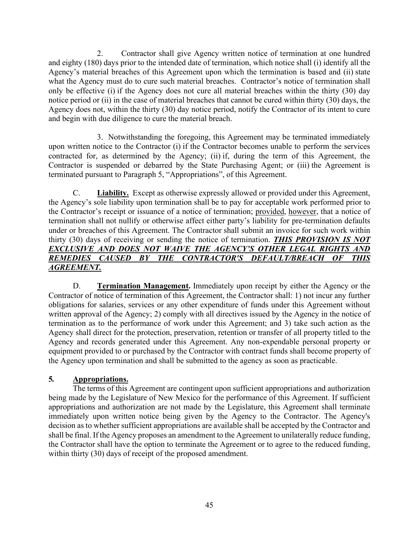2. Contractor shall give Agency written notice of termination at one hundred and eighty (180) days prior to the intended date of termination, which notice shall (i) identify all the Agency's material breaches of this Agreement upon which the termination is based and (ii) state what the Agency must do to cure such material breaches. Contractor's notice of termination shall only be effective (i) if the Agency does not cure all material breaches within the thirty (30) day notice period or (ii) in the case of material breaches that cannot be cured within thirty (30) days, the Agency does not, within the thirty (30) day notice period, notify the Contractor of its intent to cure and begin with due diligence to cure the material breach.

3. Notwithstanding the foregoing, this Agreement may be terminated immediately upon written notice to the Contractor (i) if the Contractor becomes unable to perform the services contracted for, as determined by the Agency; (ii) if, during the term of this Agreement, the Contractor is suspended or debarred by the State Purchasing Agent; or (iii) the Agreement is terminated pursuant to Paragraph 5, "Appropriations", of this Agreement.

C. **Liability.** Except as otherwise expressly allowed or provided under this Agreement, the Agency's sole liability upon termination shall be to pay for acceptable work performed prior to the Contractor's receipt or issuance of a notice of termination; provided, however, that a notice of termination shall not nullify or otherwise affect either party's liability for pre-termination defaults under or breaches of this Agreement. The Contractor shall submit an invoice for such work within thirty (30) days of receiving or sending the notice of termination. *THIS PROVISION IS NOT*  **EXCLUSIVE AND DOES NOT WAIVE THE AGENCY'S OTHER LEGAL RIGHTS AND** *REMEDIES CAUSED BY THE CONTRACTOR'S DEFAULT/BREACH OF THIS AGREEMENT.*

D. **Termination Management.** Immediately upon receipt by either the Agency or the Contractor of notice of termination of this Agreement, the Contractor shall: 1) not incur any further obligations for salaries, services or any other expenditure of funds under this Agreement without written approval of the Agency; 2) comply with all directives issued by the Agency in the notice of termination as to the performance of work under this Agreement; and 3) take such action as the Agency shall direct for the protection, preservation, retention or transfer of all property titled to the Agency and records generated under this Agreement. Any non-expendable personal property or equipment provided to or purchased by the Contractor with contract funds shall become property of the Agency upon termination and shall be submitted to the agency as soon as practicable.

### **5***.* **Appropriations.**

The terms of this Agreement are contingent upon sufficient appropriations and authorization being made by the Legislature of New Mexico for the performance of this Agreement. If sufficient appropriations and authorization are not made by the Legislature, this Agreement shall terminate immediately upon written notice being given by the Agency to the Contractor. The Agency's decision as to whether sufficient appropriations are available shall be accepted by the Contractor and shall be final. If the Agency proposes an amendment to the Agreement to unilaterally reduce funding, the Contractor shall have the option to terminate the Agreement or to agree to the reduced funding, within thirty (30) days of receipt of the proposed amendment.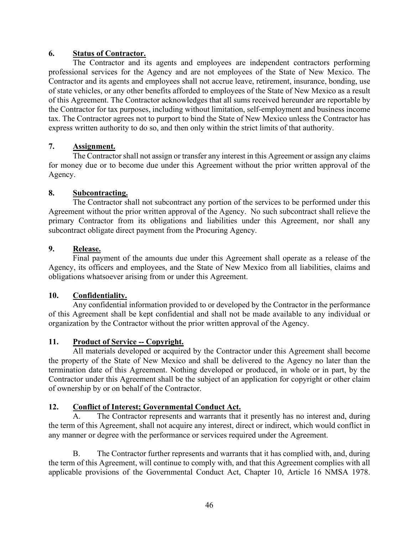#### **6. Status of Contractor.**

The Contractor and its agents and employees are independent contractors performing professional services for the Agency and are not employees of the State of New Mexico. The Contractor and its agents and employees shall not accrue leave, retirement, insurance, bonding, use of state vehicles, or any other benefits afforded to employees of the State of New Mexico as a result of this Agreement. The Contractor acknowledges that all sums received hereunder are reportable by the Contractor for tax purposes, including without limitation, self-employment and business income tax. The Contractor agrees not to purport to bind the State of New Mexico unless the Contractor has express written authority to do so, and then only within the strict limits of that authority.

### **7. Assignment.**

The Contractor shall not assign or transfer any interest in this Agreement or assign any claims for money due or to become due under this Agreement without the prior written approval of the Agency.

#### **8. Subcontracting.**

The Contractor shall not subcontract any portion of the services to be performed under this Agreement without the prior written approval of the Agency. No such subcontract shall relieve the primary Contractor from its obligations and liabilities under this Agreement, nor shall any subcontract obligate direct payment from the Procuring Agency.

#### **9. Release.**

Final payment of the amounts due under this Agreement shall operate as a release of the Agency, its officers and employees, and the State of New Mexico from all liabilities, claims and obligations whatsoever arising from or under this Agreement.

### **10. Confidentiality.**

Any confidential information provided to or developed by the Contractor in the performance of this Agreement shall be kept confidential and shall not be made available to any individual or organization by the Contractor without the prior written approval of the Agency.

### **11. Product of Service -- Copyright.**

All materials developed or acquired by the Contractor under this Agreement shall become the property of the State of New Mexico and shall be delivered to the Agency no later than the termination date of this Agreement. Nothing developed or produced, in whole or in part, by the Contractor under this Agreement shall be the subject of an application for copyright or other claim of ownership by or on behalf of the Contractor.

#### **12. Conflict of Interest; Governmental Conduct Act.**

A. The Contractor represents and warrants that it presently has no interest and, during the term of this Agreement, shall not acquire any interest, direct or indirect, which would conflict in any manner or degree with the performance or services required under the Agreement.

B. The Contractor further represents and warrants that it has complied with, and, during the term of this Agreement, will continue to comply with, and that this Agreement complies with all applicable provisions of the Governmental Conduct Act, Chapter 10, Article 16 NMSA 1978.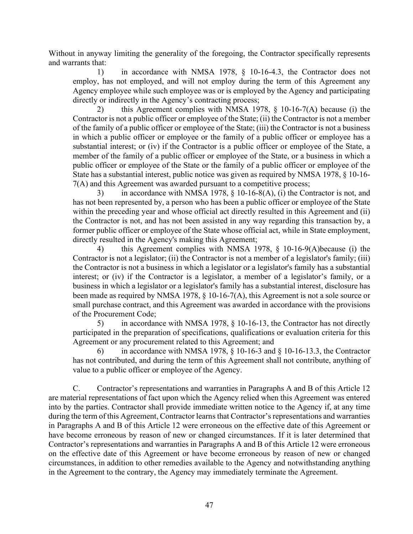Without in anyway limiting the generality of the foregoing, the Contractor specifically represents and warrants that:

1) in accordance with NMSA 1978, § 10-16-4.3, the Contractor does not employ, has not employed, and will not employ during the term of this Agreement any Agency employee while such employee was or is employed by the Agency and participating directly or indirectly in the Agency's contracting process;

2) this Agreement complies with NMSA 1978, § 10-16-7(A) because (i) the Contractor is not a public officer or employee of the State; (ii) the Contractor is not a member of the family of a public officer or employee of the State; (iii) the Contractor is not a business in which a public officer or employee or the family of a public officer or employee has a substantial interest; or (iv) if the Contractor is a public officer or employee of the State, a member of the family of a public officer or employee of the State, or a business in which a public officer or employee of the State or the family of a public officer or employee of the State has a substantial interest, public notice was given as required by NMSA 1978, § 10-16- 7(A) and this Agreement was awarded pursuant to a competitive process;

3) in accordance with NMSA 1978, § 10-16-8(A), (i) the Contractor is not, and has not been represented by, a person who has been a public officer or employee of the State within the preceding year and whose official act directly resulted in this Agreement and (ii) the Contractor is not, and has not been assisted in any way regarding this transaction by, a former public officer or employee of the State whose official act, while in State employment, directly resulted in the Agency's making this Agreement;

4) this Agreement complies with NMSA 1978, § 10-16-9(A)because (i) the Contractor is not a legislator; (ii) the Contractor is not a member of a legislator's family; (iii) the Contractor is not a business in which a legislator or a legislator's family has a substantial interest; or (iv) if the Contractor is a legislator, a member of a legislator's family, or a business in which a legislator or a legislator's family has a substantial interest, disclosure has been made as required by NMSA 1978, § 10-16-7(A), this Agreement is not a sole source or small purchase contract, and this Agreement was awarded in accordance with the provisions of the Procurement Code;

5) in accordance with NMSA 1978, § 10-16-13, the Contractor has not directly participated in the preparation of specifications, qualifications or evaluation criteria for this Agreement or any procurement related to this Agreement; and

in accordance with NMSA 1978,  $\S$  10-16-3 and  $\S$  10-16-13.3, the Contractor has not contributed, and during the term of this Agreement shall not contribute, anything of value to a public officer or employee of the Agency.

C. Contractor's representations and warranties in Paragraphs A and B of this Article 12 are material representations of fact upon which the Agency relied when this Agreement was entered into by the parties. Contractor shall provide immediate written notice to the Agency if, at any time during the term of this Agreement, Contractor learns that Contractor's representations and warranties in Paragraphs A and B of this Article 12 were erroneous on the effective date of this Agreement or have become erroneous by reason of new or changed circumstances. If it is later determined that Contractor's representations and warranties in Paragraphs A and B of this Article 12 were erroneous on the effective date of this Agreement or have become erroneous by reason of new or changed circumstances, in addition to other remedies available to the Agency and notwithstanding anything in the Agreement to the contrary, the Agency may immediately terminate the Agreement.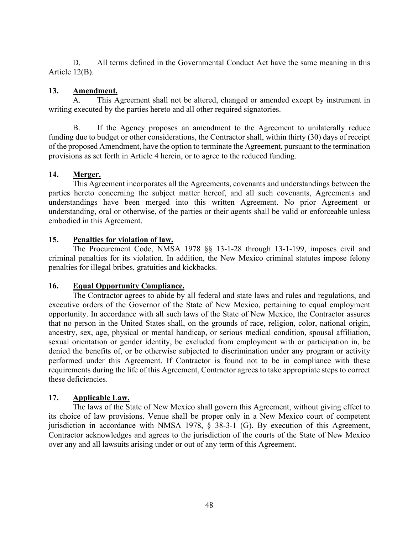D. All terms defined in the Governmental Conduct Act have the same meaning in this Article 12(B).

### **13. Amendment.**

A. This Agreement shall not be altered, changed or amended except by instrument in writing executed by the parties hereto and all other required signatories.

B. If the Agency proposes an amendment to the Agreement to unilaterally reduce funding due to budget or other considerations, the Contractor shall, within thirty (30) days of receipt of the proposed Amendment, have the option to terminate the Agreement, pursuant to the termination provisions as set forth in Article 4 herein, or to agree to the reduced funding.

## **14. Merger.**

This Agreement incorporates all the Agreements, covenants and understandings between the parties hereto concerning the subject matter hereof, and all such covenants, Agreements and understandings have been merged into this written Agreement. No prior Agreement or understanding, oral or otherwise, of the parties or their agents shall be valid or enforceable unless embodied in this Agreement.

## **15. Penalties for violation of law.**

The Procurement Code, NMSA 1978 §§ 13-1-28 through 13-1-199, imposes civil and criminal penalties for its violation. In addition, the New Mexico criminal statutes impose felony penalties for illegal bribes, gratuities and kickbacks.

### **16. Equal Opportunity Compliance.**

The Contractor agrees to abide by all federal and state laws and rules and regulations, and executive orders of the Governor of the State of New Mexico, pertaining to equal employment opportunity. In accordance with all such laws of the State of New Mexico, the Contractor assures that no person in the United States shall, on the grounds of race, religion, color, national origin, ancestry, sex, age, physical or mental handicap, or serious medical condition, spousal affiliation, sexual orientation or gender identity, be excluded from employment with or participation in, be denied the benefits of, or be otherwise subjected to discrimination under any program or activity performed under this Agreement. If Contractor is found not to be in compliance with these requirements during the life of this Agreement, Contractor agrees to take appropriate steps to correct these deficiencies.

### **17. Applicable Law.**

The laws of the State of New Mexico shall govern this Agreement, without giving effect to its choice of law provisions. Venue shall be proper only in a New Mexico court of competent jurisdiction in accordance with NMSA 1978, § 38-3-1 (G). By execution of this Agreement, Contractor acknowledges and agrees to the jurisdiction of the courts of the State of New Mexico over any and all lawsuits arising under or out of any term of this Agreement.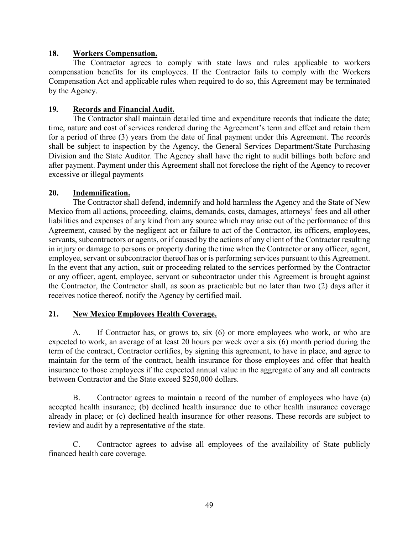#### **18. Workers Compensation.**

The Contractor agrees to comply with state laws and rules applicable to workers compensation benefits for its employees. If the Contractor fails to comply with the Workers Compensation Act and applicable rules when required to do so, this Agreement may be terminated by the Agency.

#### **19***.* **Records and Financial Audit.**

The Contractor shall maintain detailed time and expenditure records that indicate the date; time, nature and cost of services rendered during the Agreement's term and effect and retain them for a period of three (3) years from the date of final payment under this Agreement. The records shall be subject to inspection by the Agency, the General Services Department/State Purchasing Division and the State Auditor. The Agency shall have the right to audit billings both before and after payment. Payment under this Agreement shall not foreclose the right of the Agency to recover excessive or illegal payments

#### **20. Indemnification.**

The Contractor shall defend, indemnify and hold harmless the Agency and the State of New Mexico from all actions, proceeding, claims, demands, costs, damages, attorneys' fees and all other liabilities and expenses of any kind from any source which may arise out of the performance of this Agreement, caused by the negligent act or failure to act of the Contractor, its officers, employees, servants, subcontractors or agents, or if caused by the actions of any client of the Contractor resulting in injury or damage to persons or property during the time when the Contractor or any officer, agent, employee, servant or subcontractor thereof has or is performing services pursuant to this Agreement. In the event that any action, suit or proceeding related to the services performed by the Contractor or any officer, agent, employee, servant or subcontractor under this Agreement is brought against the Contractor, the Contractor shall, as soon as practicable but no later than two (2) days after it receives notice thereof, notify the Agency by certified mail.

### **21. New Mexico Employees Health Coverage.**

A. If Contractor has, or grows to, six (6) or more employees who work, or who are expected to work, an average of at least 20 hours per week over a six (6) month period during the term of the contract, Contractor certifies, by signing this agreement, to have in place, and agree to maintain for the term of the contract, health insurance for those employees and offer that health insurance to those employees if the expected annual value in the aggregate of any and all contracts between Contractor and the State exceed \$250,000 dollars.

B. Contractor agrees to maintain a record of the number of employees who have (a) accepted health insurance; (b) declined health insurance due to other health insurance coverage already in place; or (c) declined health insurance for other reasons. These records are subject to review and audit by a representative of the state.

C. Contractor agrees to advise all employees of the availability of State publicly financed health care coverage.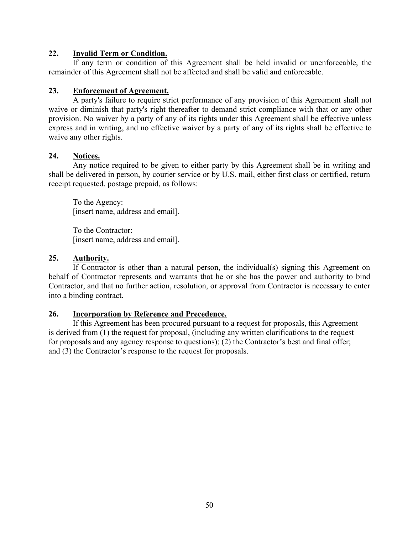#### **22. Invalid Term or Condition.**

If any term or condition of this Agreement shall be held invalid or unenforceable, the remainder of this Agreement shall not be affected and shall be valid and enforceable.

#### **23. Enforcement of Agreement.**

A party's failure to require strict performance of any provision of this Agreement shall not waive or diminish that party's right thereafter to demand strict compliance with that or any other provision. No waiver by a party of any of its rights under this Agreement shall be effective unless express and in writing, and no effective waiver by a party of any of its rights shall be effective to waive any other rights.

#### **24. Notices.**

Any notice required to be given to either party by this Agreement shall be in writing and shall be delivered in person, by courier service or by U.S. mail, either first class or certified, return receipt requested, postage prepaid, as follows:

To the Agency: [insert name, address and email].

To the Contractor: [insert name, address and email].

#### **25. Authority.**

If Contractor is other than a natural person, the individual(s) signing this Agreement on behalf of Contractor represents and warrants that he or she has the power and authority to bind Contractor, and that no further action, resolution, or approval from Contractor is necessary to enter into a binding contract.

### **26. Incorporation by Reference and Precedence.**

If this Agreement has been procured pursuant to a request for proposals, this Agreement is derived from (1) the request for proposal, (including any written clarifications to the request for proposals and any agency response to questions); (2) the Contractor's best and final offer; and (3) the Contractor's response to the request for proposals.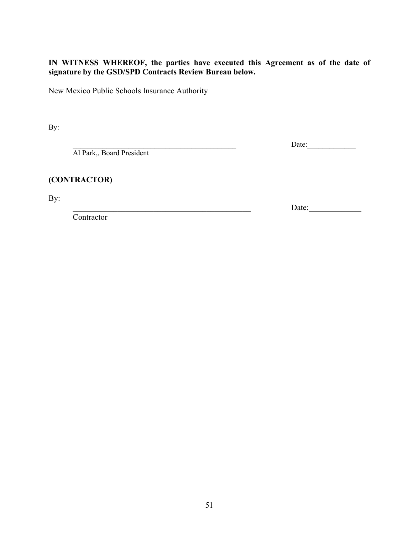## **IN WITNESS WHEREOF, the parties have executed this Agreement as of the date of signature by the GSD/SPD Contracts Review Bureau below.**

New Mexico Public Schools Insurance Authority

By:

\_\_\_\_\_\_\_\_\_\_\_\_\_\_\_\_\_\_\_\_\_\_\_\_\_\_\_\_\_\_\_\_\_\_\_\_\_\_\_\_\_\_\_\_ Date:\_\_\_\_\_\_\_\_\_\_\_\_\_

\_\_\_\_\_\_\_\_\_\_\_\_\_\_\_\_\_\_\_\_\_\_\_\_\_\_\_\_\_\_\_\_\_\_\_\_\_\_\_\_\_\_\_\_ Date:\_\_\_\_\_\_\_\_\_\_\_\_\_

Al Park,, Board President

**(CONTRACTOR)**

By:

**Contractor** 

51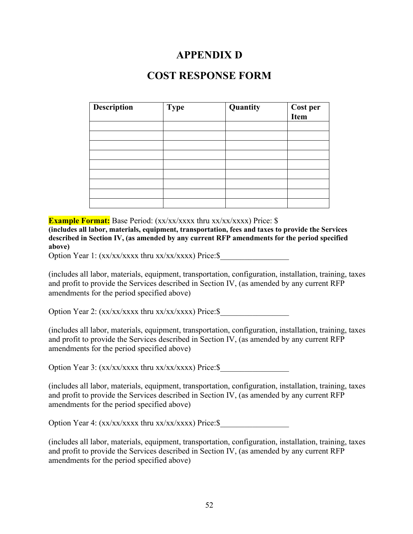# **APPENDIX D**

# **COST RESPONSE FORM**

<span id="page-55-0"></span>

| Description | <b>Type</b> | Quantity | <b>Cost per<br/>Item</b> |
|-------------|-------------|----------|--------------------------|
|             |             |          |                          |
|             |             |          |                          |
|             |             |          |                          |
|             |             |          |                          |
|             |             |          |                          |
|             |             |          |                          |
|             |             |          |                          |
|             |             |          |                          |
|             |             |          |                          |

**Example Format:** Base Period: (xx/xx/xxxx thru xx/xx/xxxx) Price: \$

**(includes all labor, materials, equipment, transportation, fees and taxes to provide the Services described in Section IV, (as amended by any current RFP amendments for the period specified above)**

Option Year 1: (xx/xx/xxxx thru xx/xx/xxxx) Price:\$

(includes all labor, materials, equipment, transportation, configuration, installation, training, taxes and profit to provide the Services described in Section IV, (as amended by any current RFP amendments for the period specified above)

Option Year 2:  $(xx/xx/xxx x$  thru  $xx/xx/xxx x)$  Price: \$

(includes all labor, materials, equipment, transportation, configuration, installation, training, taxes and profit to provide the Services described in Section IV, (as amended by any current RFP amendments for the period specified above)

Option Year 3:  $(xx/xx/xxxx$  thru  $xx/xx/xxxx)$  Price: \$

(includes all labor, materials, equipment, transportation, configuration, installation, training, taxes and profit to provide the Services described in Section IV, (as amended by any current RFP amendments for the period specified above)

Option Year 4:  $(xx/xx/xxx x$  thru  $xx/xx/xxx x$ ) Price: \$

(includes all labor, materials, equipment, transportation, configuration, installation, training, taxes and profit to provide the Services described in Section IV, (as amended by any current RFP amendments for the period specified above)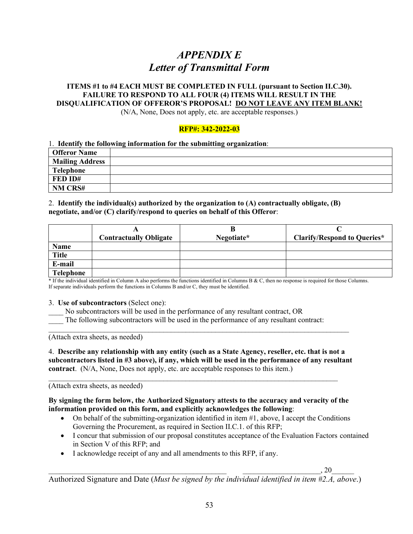# *APPENDIX E Letter of Transmittal Form*

#### **ITEMS #1 to #4 EACH MUST BE COMPLETED IN FULL (pursuant to Section II.C.30). FAILURE TO RESPOND TO ALL FOUR (4) ITEMS WILL RESULT IN THE DISQUALIFICATION OF OFFEROR'S PROPOSAL! DO NOT LEAVE ANY ITEM BLANK!**

(N/A, None, Does not apply, etc. are acceptable responses.)

#### **RFP#: 342-2022-03**

#### 1. **Identify the following information for the submitting organization**:

| <b>Offeror Name</b>    |  |
|------------------------|--|
| <b>Mailing Address</b> |  |
| <b>Telephone</b>       |  |
| FED ID#                |  |
| NM CRS#                |  |

#### 2. **Identify the individual(s) authorized by the organization to (A) contractually obligate, (B) negotiate, and/or (C) clarify/respond to queries on behalf of this Offeror**:

|                  |                               | ĸ          |                                    |
|------------------|-------------------------------|------------|------------------------------------|
|                  | <b>Contractually Obligate</b> | Negotiate* | <b>Clarify/Respond to Queries*</b> |
| Name             |                               |            |                                    |
| <b>Title</b>     |                               |            |                                    |
| E-mail           |                               |            |                                    |
| <b>Telephone</b> |                               |            |                                    |

\* If the individual identified in Column A also performs the functions identified in Columns B & C, then no response is required for those Columns. If separate individuals perform the functions in Columns B and/or C, they must be identified.

#### 3. **Use of subcontractors** (Select one):

No subcontractors will be used in the performance of any resultant contract, OR

The following subcontractors will be used in the performance of any resultant contract:

(Attach extra sheets, as needed)

4. **Describe any relationship with any entity (such as a State Agency, reseller, etc. that is not a subcontractors listed in #3 above), if any, which will be used in the performance of any resultant contract**. (N/A, None, Does not apply, etc. are acceptable responses to this item.)

 $\_$  , and the contribution of the contribution of  $\mathcal{L}_\mathcal{A}$  , and the contribution of  $\mathcal{L}_\mathcal{A}$ 

\_\_\_\_\_\_\_\_\_\_\_\_\_\_\_\_\_\_\_\_\_\_\_\_\_\_\_\_\_\_\_\_\_\_\_\_\_\_\_\_\_\_\_\_\_\_\_\_\_\_\_\_\_\_\_\_\_\_\_\_\_\_\_\_\_\_\_\_\_\_\_\_\_\_\_\_\_\_\_\_\_

(Attach extra sheets, as needed)

#### **By signing the form below, the Authorized Signatory attests to the accuracy and veracity of the information provided on this form, and explicitly acknowledges the following**:

- On behalf of the submitting-organization identified in item  $#1$ , above, I accept the Conditions Governing the Procurement, as required in Section II.C.1. of this RFP;
- I concur that submission of our proposal constitutes acceptance of the Evaluation Factors contained in Section V of this RFP; and
- I acknowledge receipt of any and all amendments to this RFP, if any.

 $\, , 20 \,$ 

Authorized Signature and Date (*Must be signed by the individual identified in item #2.A, above*.)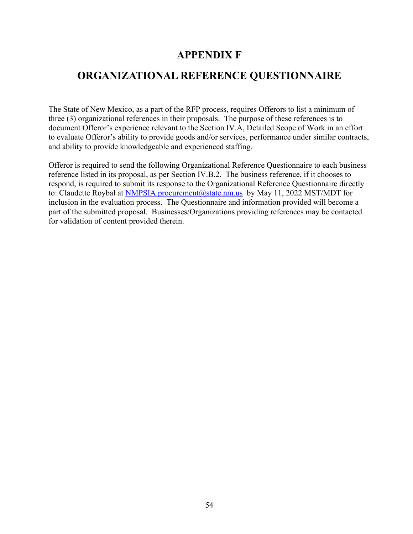# **APPENDIX F**

# <span id="page-57-1"></span><span id="page-57-0"></span>**ORGANIZATIONAL REFERENCE QUESTIONNAIRE**

The State of New Mexico, as a part of the RFP process, requires Offerors to list a minimum of three (3) organizational references in their proposals. The purpose of these references is to document Offeror's experience relevant to the Section IV.A, Detailed Scope of Work in an effort to evaluate Offeror's ability to provide goods and/or services, performance under similar contracts, and ability to provide knowledgeable and experienced staffing.

Offeror is required to send the following Organizational Reference Questionnaire to each business reference listed in its proposal, as per Section IV.B.2. The business reference, if it chooses to respond, is required to submit its response to the Organizational Reference Questionnaire directly to: Claudette Roybal at [NMPSIA.procurement@state.nm.us](mailto:NMPSIA.procurement@state.nm.us) by May 11, 2022 MST/MDT for inclusion in the evaluation process. The Questionnaire and information provided will become a part of the submitted proposal. Businesses/Organizations providing references may be contacted for validation of content provided therein.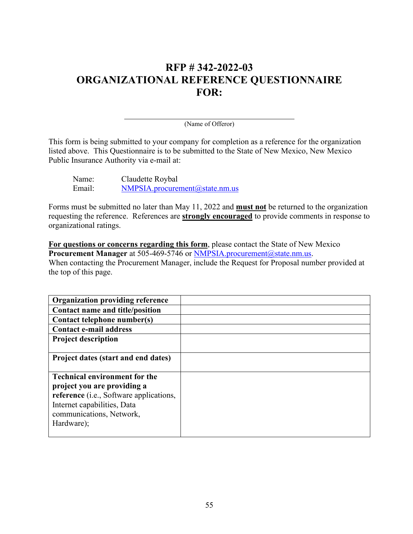# **RFP # 342-2022-03 ORGANIZATIONAL REFERENCE QUESTIONNAIRE FOR:**

(Name of Offeror)

This form is being submitted to your company for completion as a reference for the organization listed above. This Questionnaire is to be submitted to the State of New Mexico, New Mexico Public Insurance Authority via e-mail at:

| Name:  | Claudette Roybal               |
|--------|--------------------------------|
| Email: | NMPSIA. procurrent@state.nm.us |

Forms must be submitted no later than May 11, 2022 and **must not** be returned to the organization requesting the reference. References are **strongly encouraged** to provide comments in response to organizational ratings.

**For questions or concerns regarding this form**, please contact the State of New Mexico **Procurement Manager** at 505-469-5746 or [NMPSIA.procurement@state.nm.us.](mailto:Pamela.Vigil@state.nm.us) When contacting the Procurement Manager, include the Request for Proposal number provided at the top of this page.

| <b>Organization providing reference</b> |  |
|-----------------------------------------|--|
| Contact name and title/position         |  |
| Contact telephone number(s)             |  |
| <b>Contact e-mail address</b>           |  |
| <b>Project description</b>              |  |
|                                         |  |
| Project dates (start and end dates)     |  |
|                                         |  |
| <b>Technical environment for the</b>    |  |
| project you are providing a             |  |
| reference (i.e., Software applications, |  |
| Internet capabilities, Data             |  |
| communications, Network,                |  |
| Hardware);                              |  |
|                                         |  |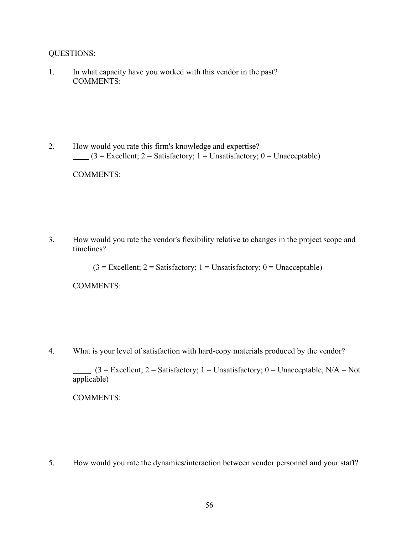#### QUESTIONS:

1. In what capacity have you worked with this vendor in the past? COMMENTS:

2. How would you rate this firm's knowledge and expertise?  $(3 = \text{Excellent}; 2 = \text{Satisfactory}; 1 = \text{Unsatisfactory}; 0 = \text{Unacceptable})$ 

COMMENTS:

3. How would you rate the vendor's flexibility relative to changes in the project scope and timelines?

 $(3 = \text{Excellent}; 2 = \text{Satisfactory}; 1 = \text{Unsatisfactory}; 0 = \text{Unacceptable})$ 

COMMENTS:

4. What is your level of satisfaction with hard-copy materials produced by the vendor?

 $(3 = Excellent; 2 = Satisfactory; 1 = Unsatisfactory; 0 = Unacceptable, N/A = Not$ applicable)

COMMENTS:

5. How would you rate the dynamics/interaction between vendor personnel and your staff?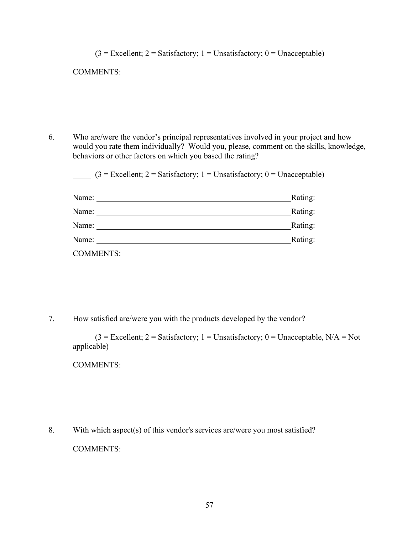| <b>COMMENTS:</b> |                                                                                                                                                                                                                                           |
|------------------|-------------------------------------------------------------------------------------------------------------------------------------------------------------------------------------------------------------------------------------------|
|                  |                                                                                                                                                                                                                                           |
|                  |                                                                                                                                                                                                                                           |
|                  |                                                                                                                                                                                                                                           |
|                  |                                                                                                                                                                                                                                           |
|                  | Who are/were the vendor's principal representatives involved in your project and how                                                                                                                                                      |
|                  | would you rate them individually? Would you, please, comment on the skills, knowledge,<br>behaviors or other factors on which you based the rating?                                                                                       |
|                  | $(3 = Excellent; 2 = Satisfactory; 1 = Unsatisfactory; 0 = Unacceptable)$                                                                                                                                                                 |
|                  | Name:<br>Rating:                                                                                                                                                                                                                          |
|                  | Rating:                                                                                                                                                                                                                                   |
|                  | Rating:<br>Name: Name and the set of the set of the set of the set of the set of the set of the set of the set of the set of the set of the set of the set of the set of the set of the set of the set of the set of the set of the set o |

7. How satisfied are/were you with the products developed by the vendor?

 $(3 = Excellent; 2 = Satisfactory; 1 = Unsatisfactory; 0 = Unacceptable, N/A = Not$ applicable)

COMMENTS:

8. With which aspect(s) of this vendor's services are/were you most satisfied? COMMENTS: